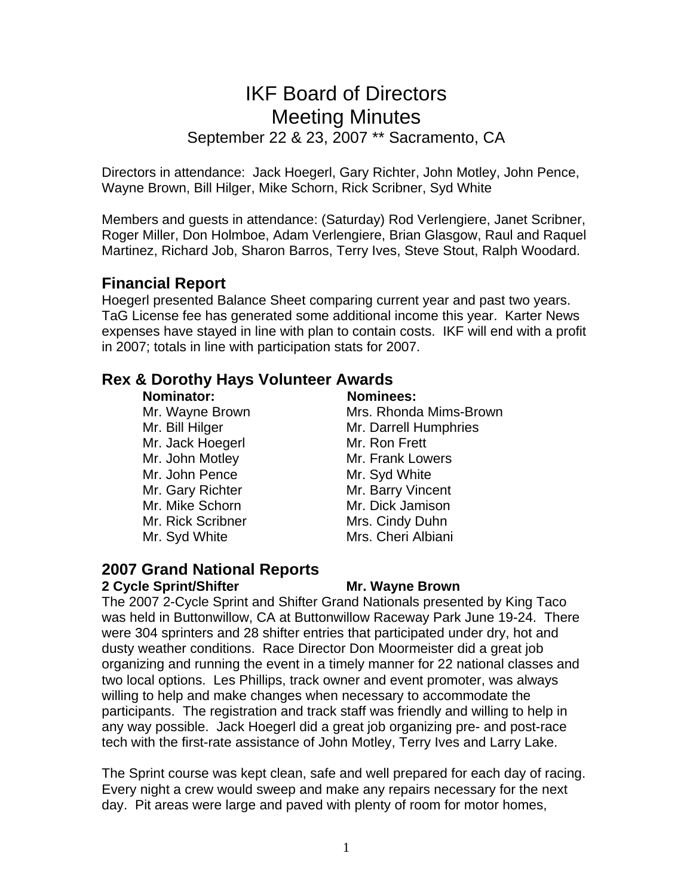# IKF Board of Directors Meeting Minutes September 22 & 23, 2007 \*\* Sacramento, CA

Directors in attendance: Jack Hoegerl, Gary Richter, John Motley, John Pence, Wayne Brown, Bill Hilger, Mike Schorn, Rick Scribner, Syd White

Members and guests in attendance: (Saturday) Rod Verlengiere, Janet Scribner, Roger Miller, Don Holmboe, Adam Verlengiere, Brian Glasgow, Raul and Raquel Martinez, Richard Job, Sharon Barros, Terry Ives, Steve Stout, Ralph Woodard.

## **Financial Report**

Hoegerl presented Balance Sheet comparing current year and past two years. TaG License fee has generated some additional income this year. Karter News expenses have stayed in line with plan to contain costs. IKF will end with a profit in 2007; totals in line with participation stats for 2007.

## **Rex & Dorothy Hays Volunteer Awards**

#### **Nominator: Nominees:**

Mr. Jack Hoegerl Mr. Ron Frett Mr. John Motley Mr. Frank Lowers Mr. John Pence Mr. Syd White Mr. Gary Richter Mr. Barry Vincent Mr. Mike Schorn Mr. Dick Jamison Mr. Rick Scribner Mrs. Cindy Duhn Mr. Syd White Mrs. Cheri Albiani

Mr. Wayne Brown Mrs. Rhonda Mims-Brown Mr. Bill Hilger Mr. Darrell Humphries

## **2007 Grand National Reports 2 Cycle Sprint/Shifter Mr. Wayne Brown**

The 2007 2-Cycle Sprint and Shifter Grand Nationals presented by King Taco was held in Buttonwillow, CA at Buttonwillow Raceway Park June 19-24. There were 304 sprinters and 28 shifter entries that participated under dry, hot and dusty weather conditions. Race Director Don Moormeister did a great job organizing and running the event in a timely manner for 22 national classes and two local options. Les Phillips, track owner and event promoter, was always willing to help and make changes when necessary to accommodate the participants. The registration and track staff was friendly and willing to help in any way possible. Jack Hoegerl did a great job organizing pre- and post-race tech with the first-rate assistance of John Motley, Terry Ives and Larry Lake.

The Sprint course was kept clean, safe and well prepared for each day of racing. Every night a crew would sweep and make any repairs necessary for the next day. Pit areas were large and paved with plenty of room for motor homes,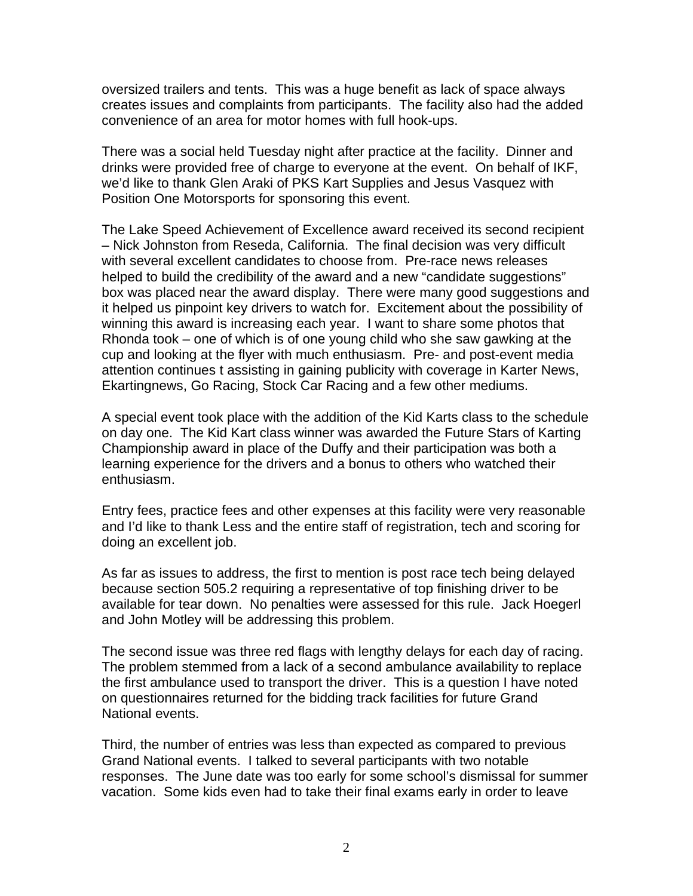oversized trailers and tents. This was a huge benefit as lack of space always creates issues and complaints from participants. The facility also had the added convenience of an area for motor homes with full hook-ups.

There was a social held Tuesday night after practice at the facility. Dinner and drinks were provided free of charge to everyone at the event. On behalf of IKF, we'd like to thank Glen Araki of PKS Kart Supplies and Jesus Vasquez with Position One Motorsports for sponsoring this event.

The Lake Speed Achievement of Excellence award received its second recipient – Nick Johnston from Reseda, California. The final decision was very difficult with several excellent candidates to choose from. Pre-race news releases helped to build the credibility of the award and a new "candidate suggestions" box was placed near the award display. There were many good suggestions and it helped us pinpoint key drivers to watch for. Excitement about the possibility of winning this award is increasing each year. I want to share some photos that Rhonda took – one of which is of one young child who she saw gawking at the cup and looking at the flyer with much enthusiasm. Pre- and post-event media attention continues t assisting in gaining publicity with coverage in Karter News, Ekartingnews, Go Racing, Stock Car Racing and a few other mediums.

A special event took place with the addition of the Kid Karts class to the schedule on day one. The Kid Kart class winner was awarded the Future Stars of Karting Championship award in place of the Duffy and their participation was both a learning experience for the drivers and a bonus to others who watched their enthusiasm.

Entry fees, practice fees and other expenses at this facility were very reasonable and I'd like to thank Less and the entire staff of registration, tech and scoring for doing an excellent job.

As far as issues to address, the first to mention is post race tech being delayed because section 505.2 requiring a representative of top finishing driver to be available for tear down. No penalties were assessed for this rule. Jack Hoegerl and John Motley will be addressing this problem.

The second issue was three red flags with lengthy delays for each day of racing. The problem stemmed from a lack of a second ambulance availability to replace the first ambulance used to transport the driver. This is a question I have noted on questionnaires returned for the bidding track facilities for future Grand National events.

Third, the number of entries was less than expected as compared to previous Grand National events. I talked to several participants with two notable responses. The June date was too early for some school's dismissal for summer vacation. Some kids even had to take their final exams early in order to leave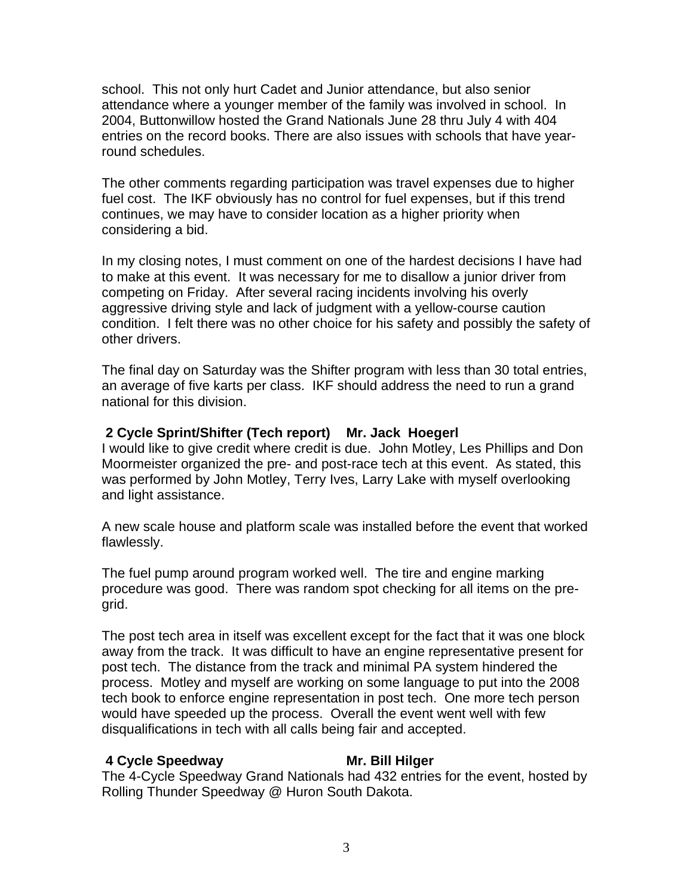school. This not only hurt Cadet and Junior attendance, but also senior attendance where a younger member of the family was involved in school. In 2004, Buttonwillow hosted the Grand Nationals June 28 thru July 4 with 404 entries on the record books. There are also issues with schools that have yearround schedules.

The other comments regarding participation was travel expenses due to higher fuel cost. The IKF obviously has no control for fuel expenses, but if this trend continues, we may have to consider location as a higher priority when considering a bid.

In my closing notes, I must comment on one of the hardest decisions I have had to make at this event. It was necessary for me to disallow a junior driver from competing on Friday. After several racing incidents involving his overly aggressive driving style and lack of judgment with a yellow-course caution condition. I felt there was no other choice for his safety and possibly the safety of other drivers.

The final day on Saturday was the Shifter program with less than 30 total entries, an average of five karts per class. IKF should address the need to run a grand national for this division.

### **2 Cycle Sprint/Shifter (Tech report) Mr. Jack Hoegerl**

I would like to give credit where credit is due. John Motley, Les Phillips and Don Moormeister organized the pre- and post-race tech at this event. As stated, this was performed by John Motley, Terry Ives, Larry Lake with myself overlooking and light assistance.

A new scale house and platform scale was installed before the event that worked flawlessly.

The fuel pump around program worked well. The tire and engine marking procedure was good. There was random spot checking for all items on the pregrid.

The post tech area in itself was excellent except for the fact that it was one block away from the track. It was difficult to have an engine representative present for post tech. The distance from the track and minimal PA system hindered the process. Motley and myself are working on some language to put into the 2008 tech book to enforce engine representation in post tech. One more tech person would have speeded up the process. Overall the event went well with few disqualifications in tech with all calls being fair and accepted.

#### **4 Cycle Speedway Mr. Bill Hilger**

The 4-Cycle Speedway Grand Nationals had 432 entries for the event, hosted by Rolling Thunder Speedway @ Huron South Dakota.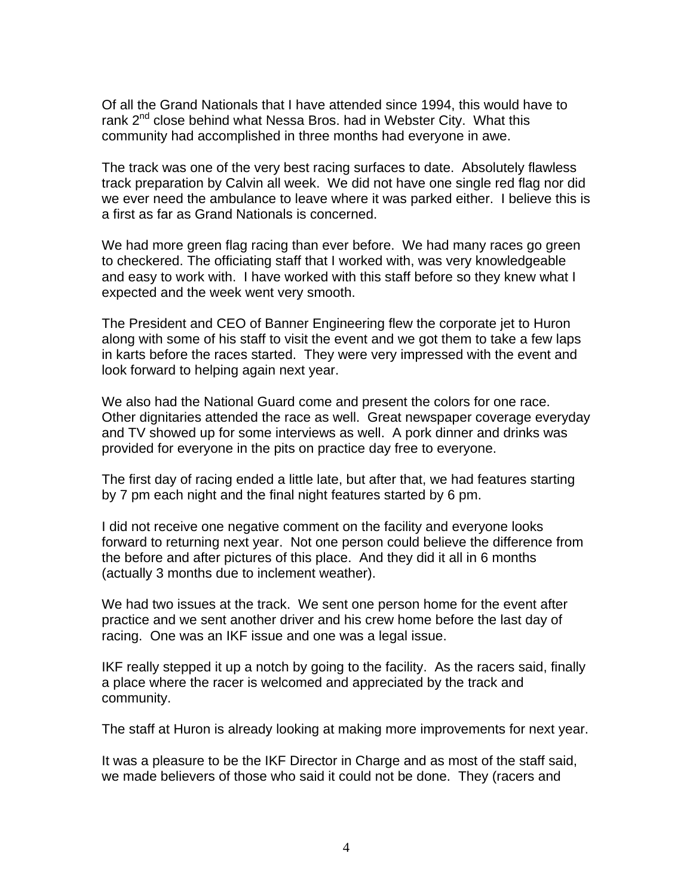Of all the Grand Nationals that I have attended since 1994, this would have to rank 2<sup>nd</sup> close behind what Nessa Bros. had in Webster City. What this community had accomplished in three months had everyone in awe.

The track was one of the very best racing surfaces to date. Absolutely flawless track preparation by Calvin all week. We did not have one single red flag nor did we ever need the ambulance to leave where it was parked either. I believe this is a first as far as Grand Nationals is concerned.

We had more green flag racing than ever before. We had many races go green to checkered. The officiating staff that I worked with, was very knowledgeable and easy to work with. I have worked with this staff before so they knew what I expected and the week went very smooth.

The President and CEO of Banner Engineering flew the corporate jet to Huron along with some of his staff to visit the event and we got them to take a few laps in karts before the races started. They were very impressed with the event and look forward to helping again next year.

We also had the National Guard come and present the colors for one race. Other dignitaries attended the race as well. Great newspaper coverage everyday and TV showed up for some interviews as well. A pork dinner and drinks was provided for everyone in the pits on practice day free to everyone.

The first day of racing ended a little late, but after that, we had features starting by 7 pm each night and the final night features started by 6 pm.

I did not receive one negative comment on the facility and everyone looks forward to returning next year. Not one person could believe the difference from the before and after pictures of this place. And they did it all in 6 months (actually 3 months due to inclement weather).

We had two issues at the track. We sent one person home for the event after practice and we sent another driver and his crew home before the last day of racing. One was an IKF issue and one was a legal issue.

IKF really stepped it up a notch by going to the facility. As the racers said, finally a place where the racer is welcomed and appreciated by the track and community.

The staff at Huron is already looking at making more improvements for next year.

It was a pleasure to be the IKF Director in Charge and as most of the staff said, we made believers of those who said it could not be done. They (racers and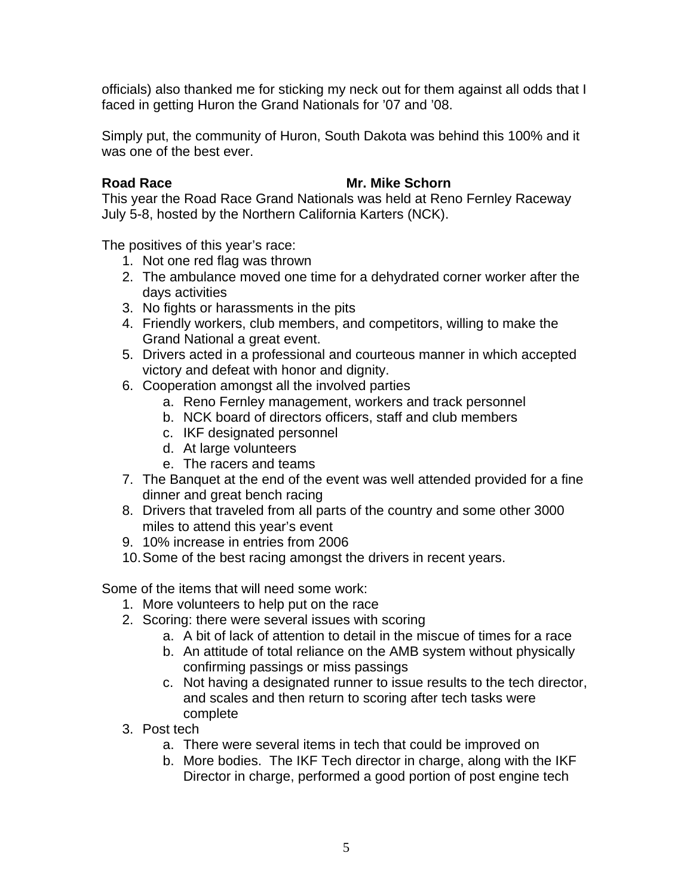officials) also thanked me for sticking my neck out for them against all odds that I faced in getting Huron the Grand Nationals for '07 and '08.

Simply put, the community of Huron, South Dakota was behind this 100% and it was one of the best ever.

#### **Road Race Mr. Mike Schorn**

This year the Road Race Grand Nationals was held at Reno Fernley Raceway July 5-8, hosted by the Northern California Karters (NCK).

The positives of this year's race:

- 1. Not one red flag was thrown
- 2. The ambulance moved one time for a dehydrated corner worker after the days activities
- 3. No fights or harassments in the pits
- 4. Friendly workers, club members, and competitors, willing to make the Grand National a great event.
- 5. Drivers acted in a professional and courteous manner in which accepted victory and defeat with honor and dignity.
- 6. Cooperation amongst all the involved parties
	- a. Reno Fernley management, workers and track personnel
	- b. NCK board of directors officers, staff and club members
	- c. IKF designated personnel
	- d. At large volunteers
	- e. The racers and teams
- 7. The Banquet at the end of the event was well attended provided for a fine dinner and great bench racing
- 8. Drivers that traveled from all parts of the country and some other 3000 miles to attend this year's event
- 9. 10% increase in entries from 2006
- 10. Some of the best racing amongst the drivers in recent years.

Some of the items that will need some work:

- 1. More volunteers to help put on the race
- 2. Scoring: there were several issues with scoring
	- a. A bit of lack of attention to detail in the miscue of times for a race
	- b. An attitude of total reliance on the AMB system without physically confirming passings or miss passings
	- c. Not having a designated runner to issue results to the tech director, and scales and then return to scoring after tech tasks were complete
- 3. Post tech
	- a. There were several items in tech that could be improved on
	- b. More bodies. The IKF Tech director in charge, along with the IKF Director in charge, performed a good portion of post engine tech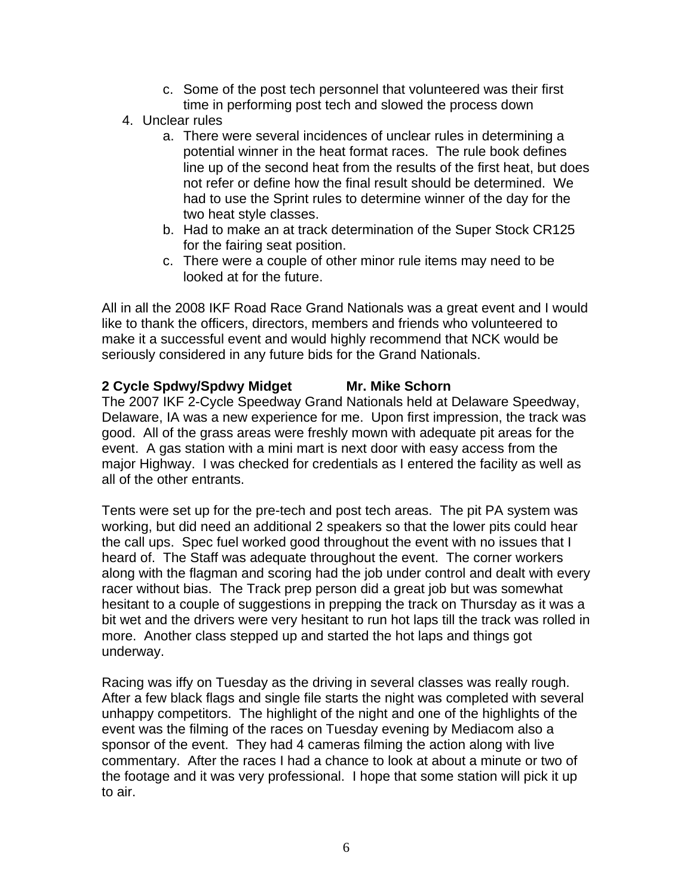- c. Some of the post tech personnel that volunteered was their first time in performing post tech and slowed the process down
- 4. Unclear rules
	- a. There were several incidences of unclear rules in determining a potential winner in the heat format races. The rule book defines line up of the second heat from the results of the first heat, but does not refer or define how the final result should be determined. We had to use the Sprint rules to determine winner of the day for the two heat style classes.
	- b. Had to make an at track determination of the Super Stock CR125 for the fairing seat position.
	- c. There were a couple of other minor rule items may need to be looked at for the future.

All in all the 2008 IKF Road Race Grand Nationals was a great event and I would like to thank the officers, directors, members and friends who volunteered to make it a successful event and would highly recommend that NCK would be seriously considered in any future bids for the Grand Nationals.

## 2 Cycle Spdwy/Spdwy Midget Mr. Mike Schorn

The 2007 IKF 2-Cycle Speedway Grand Nationals held at Delaware Speedway, Delaware, IA was a new experience for me. Upon first impression, the track was good. All of the grass areas were freshly mown with adequate pit areas for the event. A gas station with a mini mart is next door with easy access from the major Highway. I was checked for credentials as I entered the facility as well as all of the other entrants.

Tents were set up for the pre-tech and post tech areas. The pit PA system was working, but did need an additional 2 speakers so that the lower pits could hear the call ups. Spec fuel worked good throughout the event with no issues that I heard of. The Staff was adequate throughout the event. The corner workers along with the flagman and scoring had the job under control and dealt with every racer without bias. The Track prep person did a great job but was somewhat hesitant to a couple of suggestions in prepping the track on Thursday as it was a bit wet and the drivers were very hesitant to run hot laps till the track was rolled in more. Another class stepped up and started the hot laps and things got underway.

Racing was iffy on Tuesday as the driving in several classes was really rough. After a few black flags and single file starts the night was completed with several unhappy competitors. The highlight of the night and one of the highlights of the event was the filming of the races on Tuesday evening by Mediacom also a sponsor of the event. They had 4 cameras filming the action along with live commentary. After the races I had a chance to look at about a minute or two of the footage and it was very professional. I hope that some station will pick it up to air.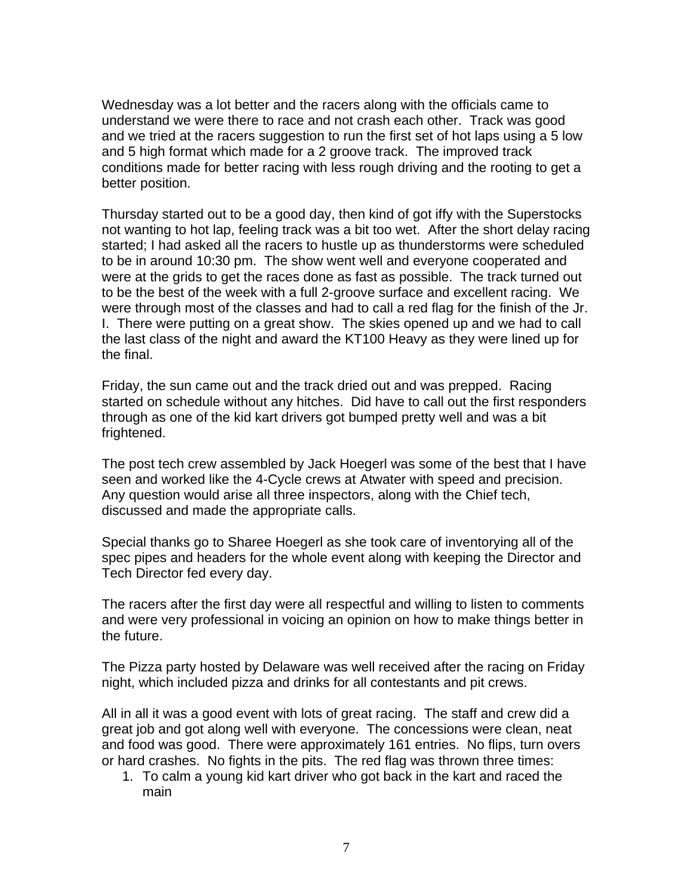Wednesday was a lot better and the racers along with the officials came to understand we were there to race and not crash each other. Track was good and we tried at the racers suggestion to run the first set of hot laps using a 5 low and 5 high format which made for a 2 groove track. The improved track conditions made for better racing with less rough driving and the rooting to get a better position.

Thursday started out to be a good day, then kind of got iffy with the Superstocks not wanting to hot lap, feeling track was a bit too wet. After the short delay racing started; I had asked all the racers to hustle up as thunderstorms were scheduled to be in around 10:30 pm. The show went well and everyone cooperated and were at the grids to get the races done as fast as possible. The track turned out to be the best of the week with a full 2-groove surface and excellent racing. We were through most of the classes and had to call a red flag for the finish of the Jr. I. There were putting on a great show. The skies opened up and we had to call the last class of the night and award the KT100 Heavy as they were lined up for the final.

Friday, the sun came out and the track dried out and was prepped. Racing started on schedule without any hitches. Did have to call out the first responders through as one of the kid kart drivers got bumped pretty well and was a bit frightened.

The post tech crew assembled by Jack Hoegerl was some of the best that I have seen and worked like the 4-Cycle crews at Atwater with speed and precision. Any question would arise all three inspectors, along with the Chief tech, discussed and made the appropriate calls.

Special thanks go to Sharee Hoegerl as she took care of inventorying all of the spec pipes and headers for the whole event along with keeping the Director and Tech Director fed every day.

The racers after the first day were all respectful and willing to listen to comments and were very professional in voicing an opinion on how to make things better in the future.

The Pizza party hosted by Delaware was well received after the racing on Friday night, which included pizza and drinks for all contestants and pit crews.

All in all it was a good event with lots of great racing. The staff and crew did a great job and got along well with everyone. The concessions were clean, neat and food was good. There were approximately 161 entries. No flips, turn overs or hard crashes. No fights in the pits. The red flag was thrown three times:

1. To calm a young kid kart driver who got back in the kart and raced the main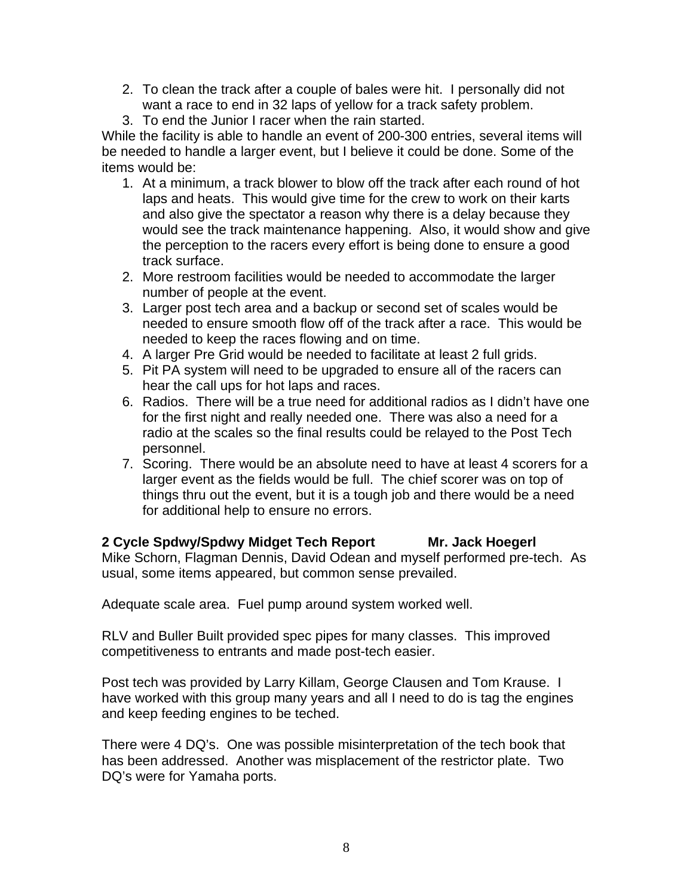- 2. To clean the track after a couple of bales were hit. I personally did not want a race to end in 32 laps of yellow for a track safety problem.
- 3. To end the Junior I racer when the rain started.

While the facility is able to handle an event of 200-300 entries, several items will be needed to handle a larger event, but I believe it could be done. Some of the items would be:

- 1. At a minimum, a track blower to blow off the track after each round of hot laps and heats. This would give time for the crew to work on their karts and also give the spectator a reason why there is a delay because they would see the track maintenance happening. Also, it would show and give the perception to the racers every effort is being done to ensure a good track surface.
- 2. More restroom facilities would be needed to accommodate the larger number of people at the event.
- 3. Larger post tech area and a backup or second set of scales would be needed to ensure smooth flow off of the track after a race. This would be needed to keep the races flowing and on time.
- 4. A larger Pre Grid would be needed to facilitate at least 2 full grids.
- 5. Pit PA system will need to be upgraded to ensure all of the racers can hear the call ups for hot laps and races.
- 6. Radios. There will be a true need for additional radios as I didn't have one for the first night and really needed one. There was also a need for a radio at the scales so the final results could be relayed to the Post Tech personnel.
- 7. Scoring. There would be an absolute need to have at least 4 scorers for a larger event as the fields would be full. The chief scorer was on top of things thru out the event, but it is a tough job and there would be a need for additional help to ensure no errors.

#### 2 Cycle Spdwy/Spdwy Midget Tech Report Mr. Jack Hoegerl Mike Schorn, Flagman Dennis, David Odean and myself performed pre-tech. As usual, some items appeared, but common sense prevailed.

Adequate scale area. Fuel pump around system worked well.

RLV and Buller Built provided spec pipes for many classes. This improved competitiveness to entrants and made post-tech easier.

Post tech was provided by Larry Killam, George Clausen and Tom Krause. I have worked with this group many years and all I need to do is tag the engines and keep feeding engines to be teched.

There were 4 DQ's. One was possible misinterpretation of the tech book that has been addressed. Another was misplacement of the restrictor plate. Two DQ's were for Yamaha ports.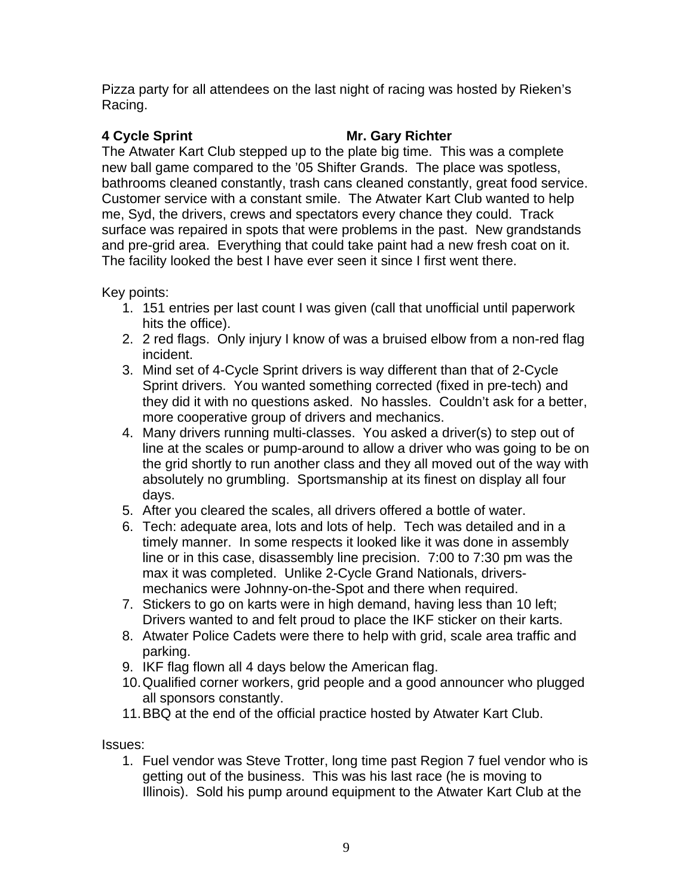Pizza party for all attendees on the last night of racing was hosted by Rieken's Racing.

### **4 Cycle Sprint Mr. Gary Richter**

The Atwater Kart Club stepped up to the plate big time. This was a complete new ball game compared to the '05 Shifter Grands. The place was spotless, bathrooms cleaned constantly, trash cans cleaned constantly, great food service. Customer service with a constant smile. The Atwater Kart Club wanted to help me, Syd, the drivers, crews and spectators every chance they could. Track surface was repaired in spots that were problems in the past. New grandstands and pre-grid area. Everything that could take paint had a new fresh coat on it. The facility looked the best I have ever seen it since I first went there.

Key points:

- 1. 151 entries per last count I was given (call that unofficial until paperwork hits the office).
- 2. 2 red flags. Only injury I know of was a bruised elbow from a non-red flag incident.
- 3. Mind set of 4-Cycle Sprint drivers is way different than that of 2-Cycle Sprint drivers. You wanted something corrected (fixed in pre-tech) and they did it with no questions asked. No hassles. Couldn't ask for a better, more cooperative group of drivers and mechanics.
- 4. Many drivers running multi-classes. You asked a driver(s) to step out of line at the scales or pump-around to allow a driver who was going to be on the grid shortly to run another class and they all moved out of the way with absolutely no grumbling. Sportsmanship at its finest on display all four days.
- 5. After you cleared the scales, all drivers offered a bottle of water.
- 6. Tech: adequate area, lots and lots of help. Tech was detailed and in a timely manner. In some respects it looked like it was done in assembly line or in this case, disassembly line precision. 7:00 to 7:30 pm was the max it was completed. Unlike 2-Cycle Grand Nationals, driversmechanics were Johnny-on-the-Spot and there when required.
- 7. Stickers to go on karts were in high demand, having less than 10 left; Drivers wanted to and felt proud to place the IKF sticker on their karts.
- 8. Atwater Police Cadets were there to help with grid, scale area traffic and parking.
- 9. IKF flag flown all 4 days below the American flag.
- 10. Qualified corner workers, grid people and a good announcer who plugged all sponsors constantly.
- 11. BBQ at the end of the official practice hosted by Atwater Kart Club.

Issues:

1. Fuel vendor was Steve Trotter, long time past Region 7 fuel vendor who is getting out of the business. This was his last race (he is moving to Illinois). Sold his pump around equipment to the Atwater Kart Club at the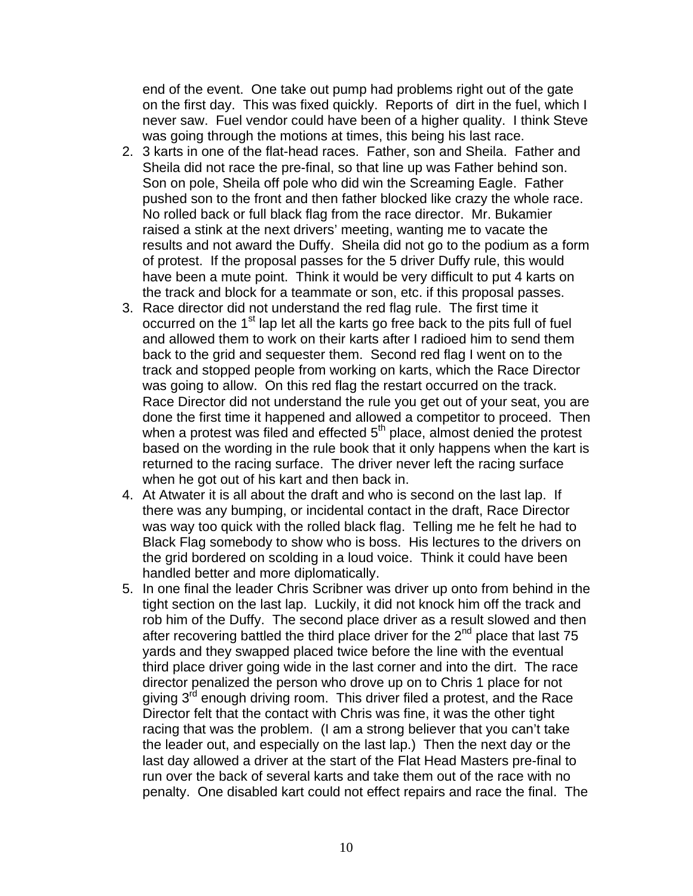end of the event. One take out pump had problems right out of the gate on the first day. This was fixed quickly. Reports of dirt in the fuel, which I never saw. Fuel vendor could have been of a higher quality. I think Steve was going through the motions at times, this being his last race.

- 2. 3 karts in one of the flat-head races. Father, son and Sheila. Father and Sheila did not race the pre-final, so that line up was Father behind son. Son on pole, Sheila off pole who did win the Screaming Eagle. Father pushed son to the front and then father blocked like crazy the whole race. No rolled back or full black flag from the race director. Mr. Bukamier raised a stink at the next drivers' meeting, wanting me to vacate the results and not award the Duffy. Sheila did not go to the podium as a form of protest. If the proposal passes for the 5 driver Duffy rule, this would have been a mute point. Think it would be very difficult to put 4 karts on the track and block for a teammate or son, etc. if this proposal passes.
- 3. Race director did not understand the red flag rule. The first time it occurred on the 1<sup>st</sup> lap let all the karts go free back to the pits full of fuel and allowed them to work on their karts after I radioed him to send them back to the grid and sequester them. Second red flag I went on to the track and stopped people from working on karts, which the Race Director was going to allow. On this red flag the restart occurred on the track. Race Director did not understand the rule you get out of your seat, you are done the first time it happened and allowed a competitor to proceed. Then when a protest was filed and effected  $5<sup>th</sup>$  place, almost denied the protest based on the wording in the rule book that it only happens when the kart is returned to the racing surface. The driver never left the racing surface when he got out of his kart and then back in.
- 4. At Atwater it is all about the draft and who is second on the last lap. If there was any bumping, or incidental contact in the draft, Race Director was way too quick with the rolled black flag. Telling me he felt he had to Black Flag somebody to show who is boss. His lectures to the drivers on the grid bordered on scolding in a loud voice. Think it could have been handled better and more diplomatically.
- 5. In one final the leader Chris Scribner was driver up onto from behind in the tight section on the last lap. Luckily, it did not knock him off the track and rob him of the Duffy. The second place driver as a result slowed and then after recovering battled the third place driver for the  $2<sup>nd</sup>$  place that last 75 yards and they swapped placed twice before the line with the eventual third place driver going wide in the last corner and into the dirt. The race director penalized the person who drove up on to Chris 1 place for not giving 3<sup>rd</sup> enough driving room. This driver filed a protest, and the Race Director felt that the contact with Chris was fine, it was the other tight racing that was the problem. (I am a strong believer that you can't take the leader out, and especially on the last lap.) Then the next day or the last day allowed a driver at the start of the Flat Head Masters pre-final to run over the back of several karts and take them out of the race with no penalty. One disabled kart could not effect repairs and race the final. The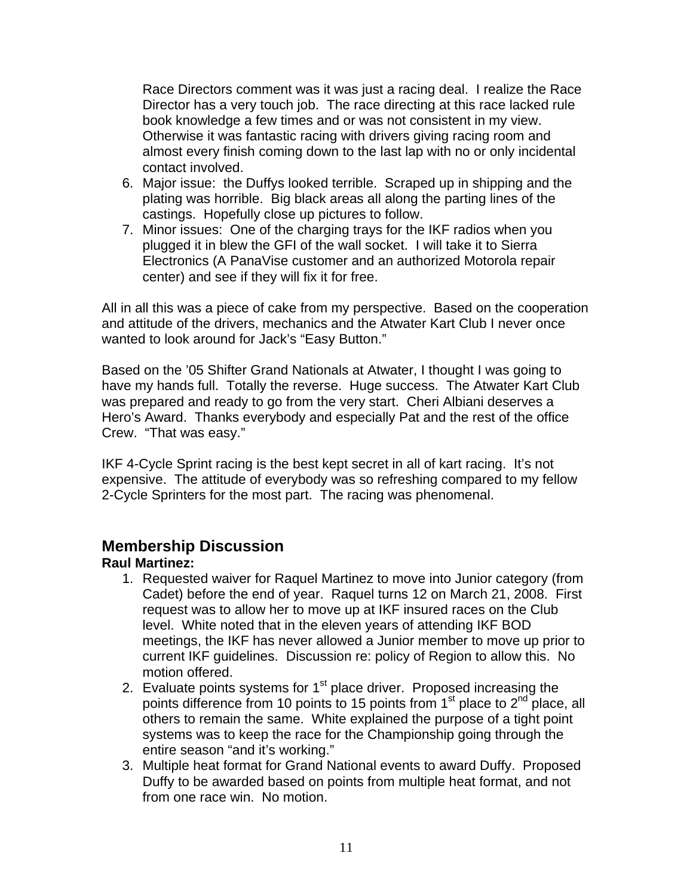Race Directors comment was it was just a racing deal. I realize the Race Director has a very touch job. The race directing at this race lacked rule book knowledge a few times and or was not consistent in my view. Otherwise it was fantastic racing with drivers giving racing room and almost every finish coming down to the last lap with no or only incidental contact involved.

- 6. Major issue: the Duffys looked terrible. Scraped up in shipping and the plating was horrible. Big black areas all along the parting lines of the castings. Hopefully close up pictures to follow.
- 7. Minor issues: One of the charging trays for the IKF radios when you plugged it in blew the GFI of the wall socket. I will take it to Sierra Electronics (A PanaVise customer and an authorized Motorola repair center) and see if they will fix it for free.

All in all this was a piece of cake from my perspective. Based on the cooperation and attitude of the drivers, mechanics and the Atwater Kart Club I never once wanted to look around for Jack's "Easy Button."

Based on the '05 Shifter Grand Nationals at Atwater, I thought I was going to have my hands full. Totally the reverse. Huge success. The Atwater Kart Club was prepared and ready to go from the very start. Cheri Albiani deserves a Hero's Award. Thanks everybody and especially Pat and the rest of the office Crew. "That was easy."

IKF 4-Cycle Sprint racing is the best kept secret in all of kart racing. It's not expensive. The attitude of everybody was so refreshing compared to my fellow 2-Cycle Sprinters for the most part. The racing was phenomenal.

# **Membership Discussion**

## **Raul Martinez:**

- 1. Requested waiver for Raquel Martinez to move into Junior category (from Cadet) before the end of year. Raquel turns 12 on March 21, 2008. First request was to allow her to move up at IKF insured races on the Club level. White noted that in the eleven years of attending IKF BOD meetings, the IKF has never allowed a Junior member to move up prior to current IKF guidelines. Discussion re: policy of Region to allow this. No motion offered.
- 2. Evaluate points systems for  $1<sup>st</sup>$  place driver. Proposed increasing the points difference from 10 points to 15 points from 1<sup>st</sup> place to 2<sup>nd</sup> place, all others to remain the same. White explained the purpose of a tight point systems was to keep the race for the Championship going through the entire season "and it's working."
- 3. Multiple heat format for Grand National events to award Duffy. Proposed Duffy to be awarded based on points from multiple heat format, and not from one race win. No motion.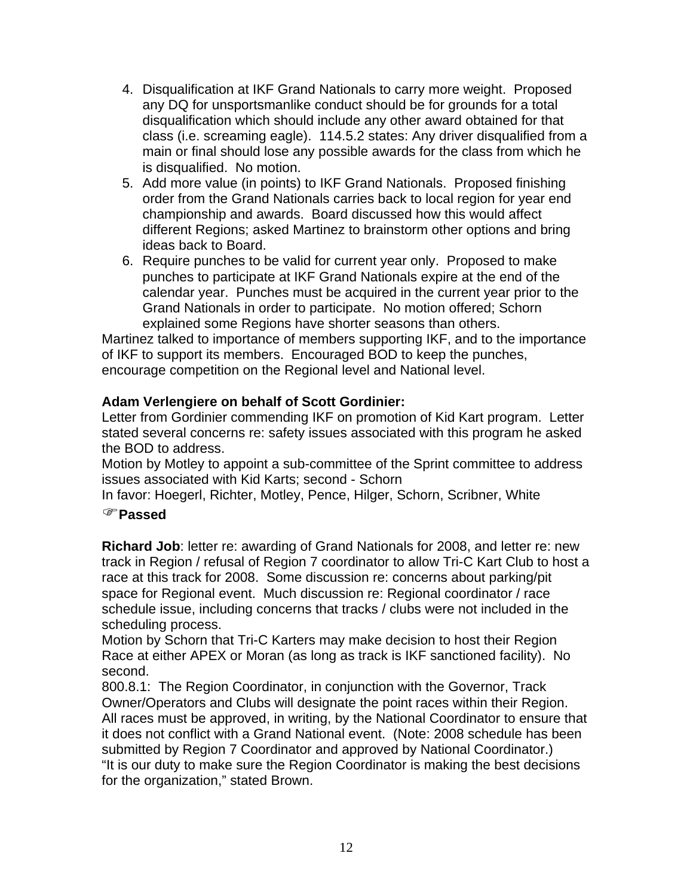- 4. Disqualification at IKF Grand Nationals to carry more weight. Proposed any DQ for unsportsmanlike conduct should be for grounds for a total disqualification which should include any other award obtained for that class (i.e. screaming eagle). 114.5.2 states: Any driver disqualified from a main or final should lose any possible awards for the class from which he is disqualified. No motion.
- 5. Add more value (in points) to IKF Grand Nationals. Proposed finishing order from the Grand Nationals carries back to local region for year end championship and awards. Board discussed how this would affect different Regions; asked Martinez to brainstorm other options and bring ideas back to Board.
- 6. Require punches to be valid for current year only. Proposed to make punches to participate at IKF Grand Nationals expire at the end of the calendar year. Punches must be acquired in the current year prior to the Grand Nationals in order to participate. No motion offered; Schorn explained some Regions have shorter seasons than others.

Martinez talked to importance of members supporting IKF, and to the importance of IKF to support its members. Encouraged BOD to keep the punches, encourage competition on the Regional level and National level.

## **Adam Verlengiere on behalf of Scott Gordinier:**

Letter from Gordinier commending IKF on promotion of Kid Kart program. Letter stated several concerns re: safety issues associated with this program he asked the BOD to address.

Motion by Motley to appoint a sub-committee of the Sprint committee to address issues associated with Kid Karts; second - Schorn

In favor: Hoegerl, Richter, Motley, Pence, Hilger, Schorn, Scribner, White

#### )**Passed**

**Richard Job**: letter re: awarding of Grand Nationals for 2008, and letter re: new track in Region / refusal of Region 7 coordinator to allow Tri-C Kart Club to host a race at this track for 2008. Some discussion re: concerns about parking/pit space for Regional event. Much discussion re: Regional coordinator / race schedule issue, including concerns that tracks / clubs were not included in the scheduling process.

Motion by Schorn that Tri-C Karters may make decision to host their Region Race at either APEX or Moran (as long as track is IKF sanctioned facility). No second.

800.8.1: The Region Coordinator, in conjunction with the Governor, Track Owner/Operators and Clubs will designate the point races within their Region. All races must be approved, in writing, by the National Coordinator to ensure that it does not conflict with a Grand National event. (Note: 2008 schedule has been submitted by Region 7 Coordinator and approved by National Coordinator.) "It is our duty to make sure the Region Coordinator is making the best decisions for the organization," stated Brown.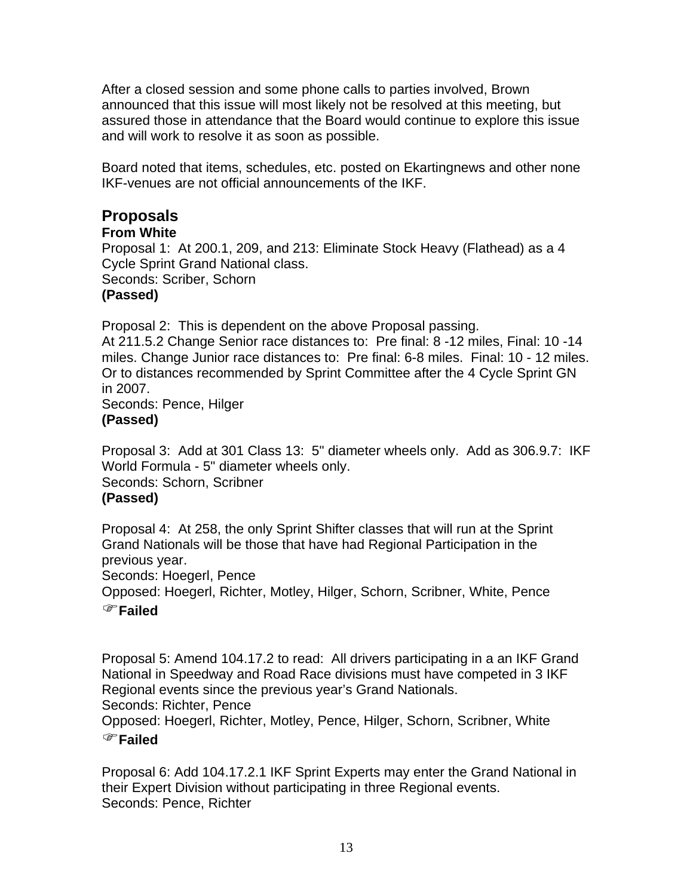After a closed session and some phone calls to parties involved, Brown announced that this issue will most likely not be resolved at this meeting, but assured those in attendance that the Board would continue to explore this issue and will work to resolve it as soon as possible.

Board noted that items, schedules, etc. posted on Ekartingnews and other none IKF-venues are not official announcements of the IKF.

# **Proposals**

#### **From White**

Proposal 1: At 200.1, 209, and 213: Eliminate Stock Heavy (Flathead) as a 4 Cycle Sprint Grand National class.

Seconds: Scriber, Schorn

## **(Passed)**

Proposal 2: This is dependent on the above Proposal passing.

At 211.5.2 Change Senior race distances to: Pre final: 8 -12 miles, Final: 10 -14 miles. Change Junior race distances to: Pre final: 6-8 miles. Final: 10 - 12 miles. Or to distances recommended by Sprint Committee after the 4 Cycle Sprint GN in 2007.

Seconds: Pence, Hilger **(Passed)** 

Proposal 3: Add at 301 Class 13: 5" diameter wheels only. Add as 306.9.7: IKF World Formula - 5" diameter wheels only.

Seconds: Schorn, Scribner

## **(Passed)**

Proposal 4: At 258, the only Sprint Shifter classes that will run at the Sprint Grand Nationals will be those that have had Regional Participation in the previous year.

Seconds: Hoegerl, Pence

Opposed: Hoegerl, Richter, Motley, Hilger, Schorn, Scribner, White, Pence )**Failed**

Proposal 5: Amend 104.17.2 to read: All drivers participating in a an IKF Grand National in Speedway and Road Race divisions must have competed in 3 IKF Regional events since the previous year's Grand Nationals. Seconds: Richter, Pence Opposed: Hoegerl, Richter, Motley, Pence, Hilger, Schorn, Scribner, White

## )**Failed**

Proposal 6: Add 104.17.2.1 IKF Sprint Experts may enter the Grand National in their Expert Division without participating in three Regional events. Seconds: Pence, Richter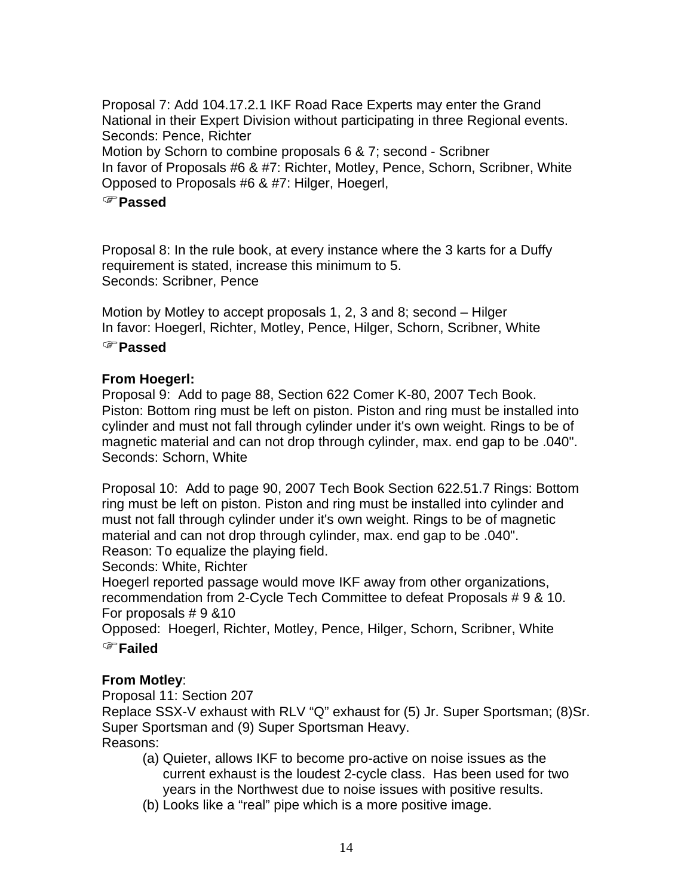Proposal 7: Add 104.17.2.1 IKF Road Race Experts may enter the Grand National in their Expert Division without participating in three Regional events. Seconds: Pence, Richter Motion by Schorn to combine proposals 6 & 7; second - Scribner In favor of Proposals #6 & #7: Richter, Motley, Pence, Schorn, Scribner, White Opposed to Proposals #6 & #7: Hilger, Hoegerl,

#### )**Passed**

Proposal 8: In the rule book, at every instance where the 3 karts for a Duffy requirement is stated, increase this minimum to 5. Seconds: Scribner, Pence

Motion by Motley to accept proposals 1, 2, 3 and 8; second – Hilger In favor: Hoegerl, Richter, Motley, Pence, Hilger, Schorn, Scribner, White

#### )**Passed**

#### **From Hoegerl:**

Proposal 9: Add to page 88, Section 622 Comer K-80, 2007 Tech Book. Piston: Bottom ring must be left on piston. Piston and ring must be installed into cylinder and must not fall through cylinder under it's own weight. Rings to be of magnetic material and can not drop through cylinder, max. end gap to be .040". Seconds: Schorn, White

Proposal 10: Add to page 90, 2007 Tech Book Section 622.51.7 Rings: Bottom ring must be left on piston. Piston and ring must be installed into cylinder and must not fall through cylinder under it's own weight. Rings to be of magnetic material and can not drop through cylinder, max. end gap to be .040". Reason: To equalize the playing field.

Seconds: White, Richter

Hoegerl reported passage would move IKF away from other organizations, recommendation from 2-Cycle Tech Committee to defeat Proposals # 9 & 10. For proposals # 9 &10

Opposed: Hoegerl, Richter, Motley, Pence, Hilger, Schorn, Scribner, White

## )**Failed**

#### **From Motley**:

Proposal 11: Section 207

Replace SSX-V exhaust with RLV "Q" exhaust for (5) Jr. Super Sportsman; (8)Sr. Super Sportsman and (9) Super Sportsman Heavy. Reasons:

- (a) Quieter, allows IKF to become pro-active on noise issues as the current exhaust is the loudest 2-cycle class. Has been used for two years in the Northwest due to noise issues with positive results.
- (b) Looks like a "real" pipe which is a more positive image.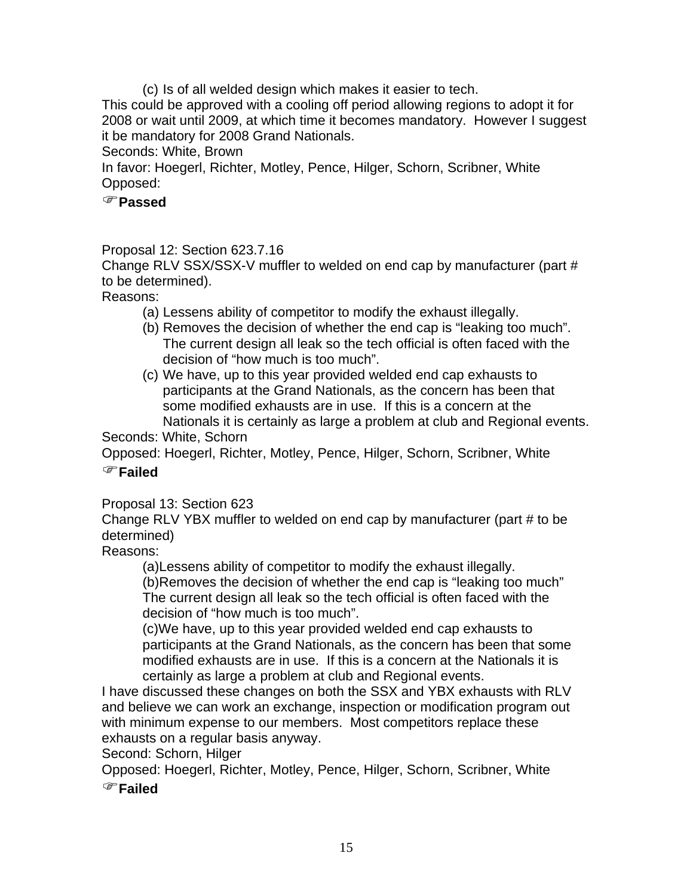(c) Is of all welded design which makes it easier to tech.

This could be approved with a cooling off period allowing regions to adopt it for 2008 or wait until 2009, at which time it becomes mandatory. However I suggest it be mandatory for 2008 Grand Nationals.

Seconds: White, Brown

In favor: Hoegerl, Richter, Motley, Pence, Hilger, Schorn, Scribner, White Opposed:

#### )**Passed**

### Proposal 12: Section 623.7.16

Change RLV SSX/SSX-V muffler to welded on end cap by manufacturer (part # to be determined).

Reasons:

- (a) Lessens ability of competitor to modify the exhaust illegally.
- (b) Removes the decision of whether the end cap is "leaking too much". The current design all leak so the tech official is often faced with the decision of "how much is too much".
- (c) We have, up to this year provided welded end cap exhausts to participants at the Grand Nationals, as the concern has been that some modified exhausts are in use. If this is a concern at the Nationals it is certainly as large a problem at club and Regional events.

Seconds: White, Schorn

Opposed: Hoegerl, Richter, Motley, Pence, Hilger, Schorn, Scribner, White

## )**Failed**

Proposal 13: Section 623

Change RLV YBX muffler to welded on end cap by manufacturer (part # to be determined)

Reasons:

(a)Lessens ability of competitor to modify the exhaust illegally.

(b)Removes the decision of whether the end cap is "leaking too much" The current design all leak so the tech official is often faced with the decision of "how much is too much".

(c)We have, up to this year provided welded end cap exhausts to participants at the Grand Nationals, as the concern has been that some modified exhausts are in use. If this is a concern at the Nationals it is certainly as large a problem at club and Regional events.

I have discussed these changes on both the SSX and YBX exhausts with RLV and believe we can work an exchange, inspection or modification program out with minimum expense to our members. Most competitors replace these exhausts on a regular basis anyway.

Second: Schorn, Hilger

Opposed: Hoegerl, Richter, Motley, Pence, Hilger, Schorn, Scribner, White

)**Failed**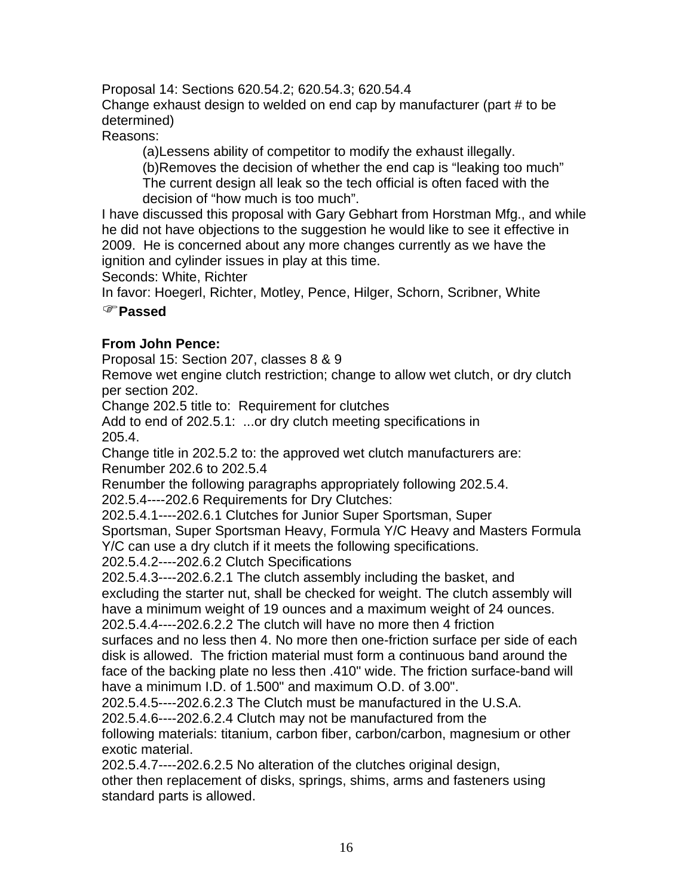Proposal 14: Sections 620.54.2; 620.54.3; 620.54.4 Change exhaust design to welded on end cap by manufacturer (part # to be determined)

Reasons:

(a)Lessens ability of competitor to modify the exhaust illegally. (b)Removes the decision of whether the end cap is "leaking too much"

The current design all leak so the tech official is often faced with the decision of "how much is too much".

I have discussed this proposal with Gary Gebhart from Horstman Mfg., and while he did not have objections to the suggestion he would like to see it effective in 2009. He is concerned about any more changes currently as we have the ignition and cylinder issues in play at this time.

Seconds: White, Richter

In favor: Hoegerl, Richter, Motley, Pence, Hilger, Schorn, Scribner, White

## )**Passed**

## **From John Pence:**

Proposal 15: Section 207, classes 8 & 9

Remove wet engine clutch restriction; change to allow wet clutch, or dry clutch per section 202.

Change 202.5 title to: Requirement for clutches

Add to end of 202.5.1: ...or dry clutch meeting specifications in 205.4.

Change title in 202.5.2 to: the approved wet clutch manufacturers are: Renumber 202.6 to 202.5.4

Renumber the following paragraphs appropriately following 202.5.4.

202.5.4----202.6 Requirements for Dry Clutches:

202.5.4.1----202.6.1 Clutches for Junior Super Sportsman, Super Sportsman, Super Sportsman Heavy, Formula Y/C Heavy and Masters Formula

Y/C can use a dry clutch if it meets the following specifications.

202.5.4.2----202.6.2 Clutch Specifications

202.5.4.3----202.6.2.1 The clutch assembly including the basket, and excluding the starter nut, shall be checked for weight. The clutch assembly will have a minimum weight of 19 ounces and a maximum weight of 24 ounces.

202.5.4.4----202.6.2.2 The clutch will have no more then 4 friction

surfaces and no less then 4. No more then one-friction surface per side of each disk is allowed. The friction material must form a continuous band around the face of the backing plate no less then .410" wide. The friction surface-band will have a minimum I.D. of 1.500" and maximum O.D. of 3.00".

202.5.4.5----202.6.2.3 The Clutch must be manufactured in the U.S.A.

202.5.4.6----202.6.2.4 Clutch may not be manufactured from the

following materials: titanium, carbon fiber, carbon/carbon, magnesium or other exotic material.

202.5.4.7----202.6.2.5 No alteration of the clutches original design,

other then replacement of disks, springs, shims, arms and fasteners using standard parts is allowed.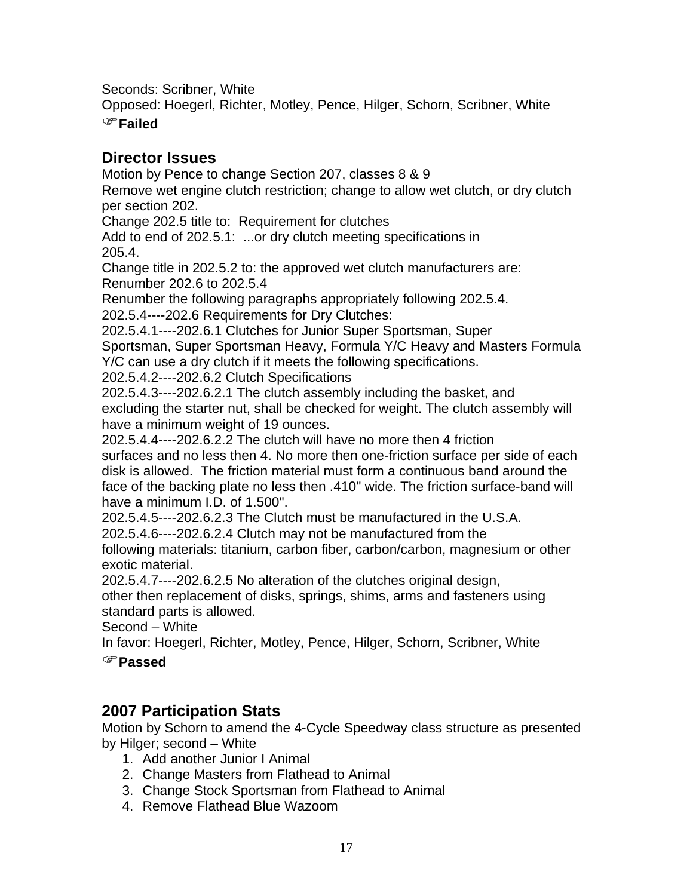Seconds: Scribner, White

Opposed: Hoegerl, Richter, Motley, Pence, Hilger, Schorn, Scribner, White

#### )**Failed**

## **Director Issues**

Motion by Pence to change Section 207, classes 8 & 9

Remove wet engine clutch restriction; change to allow wet clutch, or dry clutch per section 202.

Change 202.5 title to: Requirement for clutches

Add to end of 202.5.1: ...or dry clutch meeting specifications in 205.4.

Change title in 202.5.2 to: the approved wet clutch manufacturers are: Renumber 202.6 to 202.5.4

Renumber the following paragraphs appropriately following 202.5.4.

202.5.4----202.6 Requirements for Dry Clutches:

202.5.4.1----202.6.1 Clutches for Junior Super Sportsman, Super

Sportsman, Super Sportsman Heavy, Formula Y/C Heavy and Masters Formula

Y/C can use a dry clutch if it meets the following specifications.

202.5.4.2----202.6.2 Clutch Specifications

202.5.4.3----202.6.2.1 The clutch assembly including the basket, and excluding the starter nut, shall be checked for weight. The clutch assembly will have a minimum weight of 19 ounces.

202.5.4.4----202.6.2.2 The clutch will have no more then 4 friction

surfaces and no less then 4. No more then one-friction surface per side of each disk is allowed. The friction material must form a continuous band around the face of the backing plate no less then .410" wide. The friction surface-band will have a minimum I.D. of 1.500".

202.5.4.5----202.6.2.3 The Clutch must be manufactured in the U.S.A.

202.5.4.6----202.6.2.4 Clutch may not be manufactured from the

following materials: titanium, carbon fiber, carbon/carbon, magnesium or other exotic material.

202.5.4.7----202.6.2.5 No alteration of the clutches original design,

other then replacement of disks, springs, shims, arms and fasteners using standard parts is allowed.

Second – White

In favor: Hoegerl, Richter, Motley, Pence, Hilger, Schorn, Scribner, White

)**Passed**

## **2007 Participation Stats**

Motion by Schorn to amend the 4-Cycle Speedway class structure as presented by Hilger; second – White

- 1. Add another Junior I Animal
- 2. Change Masters from Flathead to Animal
- 3. Change Stock Sportsman from Flathead to Animal
- 4. Remove Flathead Blue Wazoom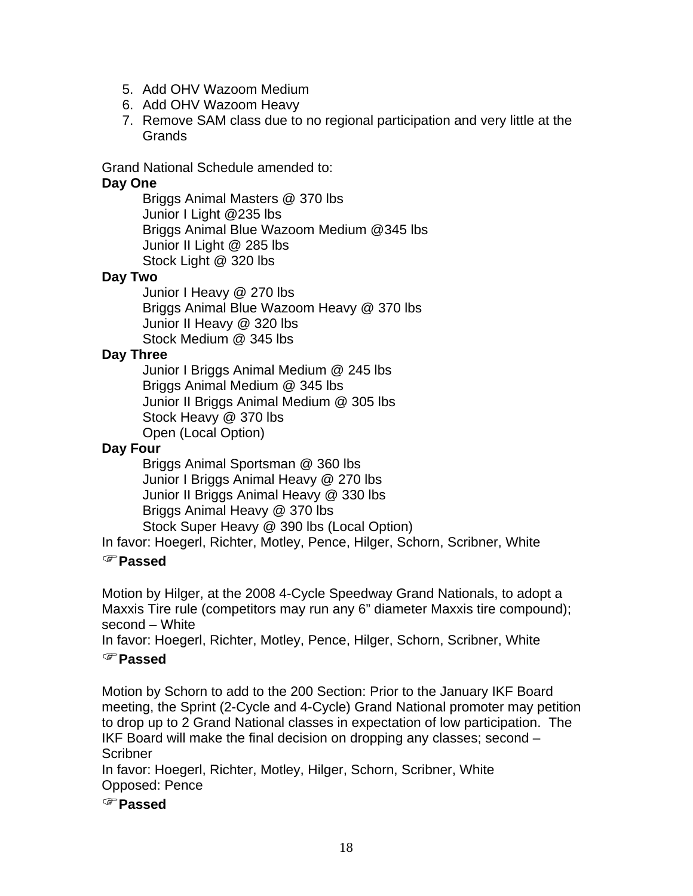- 5. Add OHV Wazoom Medium
- 6. Add OHV Wazoom Heavy
- 7. Remove SAM class due to no regional participation and very little at the **Grands**

Grand National Schedule amended to:

#### **Day One**

Briggs Animal Masters @ 370 lbs Junior I Light @235 lbs Briggs Animal Blue Wazoom Medium @345 lbs Junior II Light @ 285 lbs Stock Light @ 320 lbs

#### **Day Two**

Junior I Heavy @ 270 lbs Briggs Animal Blue Wazoom Heavy @ 370 lbs Junior II Heavy @ 320 lbs Stock Medium @ 345 lbs

#### **Day Three**

Junior I Briggs Animal Medium @ 245 lbs Briggs Animal Medium @ 345 lbs Junior II Briggs Animal Medium @ 305 lbs Stock Heavy @ 370 lbs Open (Local Option)

#### **Day Four**

Briggs Animal Sportsman @ 360 lbs Junior I Briggs Animal Heavy @ 270 lbs Junior II Briggs Animal Heavy @ 330 lbs Briggs Animal Heavy @ 370 lbs Stock Super Heavy @ 390 lbs (Local Option)

In favor: Hoegerl, Richter, Motley, Pence, Hilger, Schorn, Scribner, White

#### )**Passed**

Motion by Hilger, at the 2008 4-Cycle Speedway Grand Nationals, to adopt a Maxxis Tire rule (competitors may run any 6" diameter Maxxis tire compound); second – White

In favor: Hoegerl, Richter, Motley, Pence, Hilger, Schorn, Scribner, White

#### )**Passed**

Motion by Schorn to add to the 200 Section: Prior to the January IKF Board meeting, the Sprint (2-Cycle and 4-Cycle) Grand National promoter may petition to drop up to 2 Grand National classes in expectation of low participation. The IKF Board will make the final decision on dropping any classes; second – **Scribner** 

In favor: Hoegerl, Richter, Motley, Hilger, Schorn, Scribner, White Opposed: Pence

)**Passed**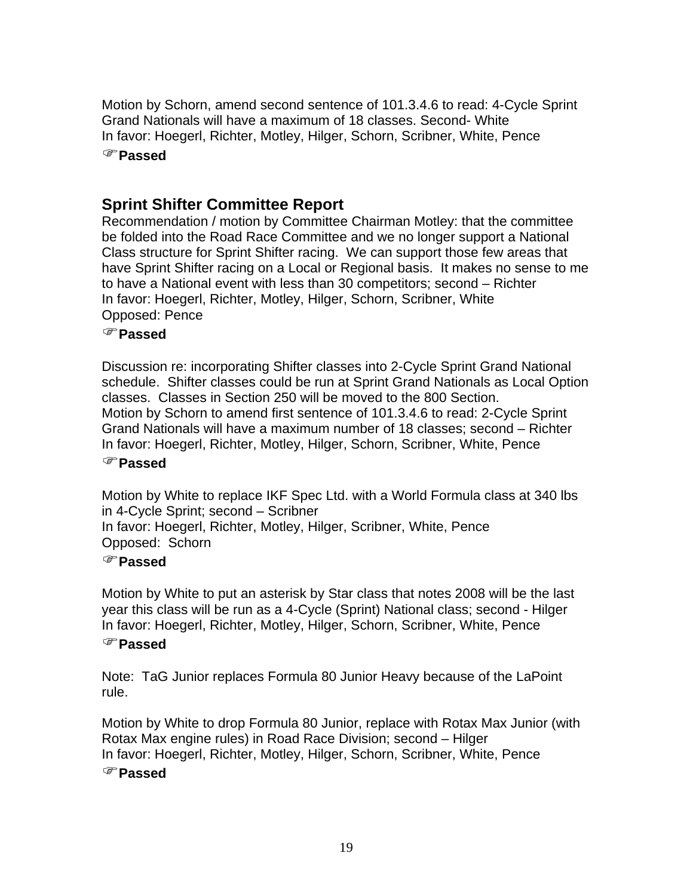Motion by Schorn, amend second sentence of 101.3.4.6 to read: 4-Cycle Sprint Grand Nationals will have a maximum of 18 classes. Second- White In favor: Hoegerl, Richter, Motley, Hilger, Schorn, Scribner, White, Pence )**Passed**

# **Sprint Shifter Committee Report**

Recommendation / motion by Committee Chairman Motley: that the committee be folded into the Road Race Committee and we no longer support a National Class structure for Sprint Shifter racing. We can support those few areas that have Sprint Shifter racing on a Local or Regional basis. It makes no sense to me to have a National event with less than 30 competitors; second – Richter In favor: Hoegerl, Richter, Motley, Hilger, Schorn, Scribner, White Opposed: Pence

#### )**Passed**

Discussion re: incorporating Shifter classes into 2-Cycle Sprint Grand National schedule. Shifter classes could be run at Sprint Grand Nationals as Local Option classes. Classes in Section 250 will be moved to the 800 Section. Motion by Schorn to amend first sentence of 101.3.4.6 to read: 2-Cycle Sprint Grand Nationals will have a maximum number of 18 classes; second – Richter In favor: Hoegerl, Richter, Motley, Hilger, Schorn, Scribner, White, Pence

#### )**Passed**

Motion by White to replace IKF Spec Ltd. with a World Formula class at 340 lbs in 4-Cycle Sprint; second – Scribner

In favor: Hoegerl, Richter, Motley, Hilger, Scribner, White, Pence Opposed: Schorn

#### )**Passed**

Motion by White to put an asterisk by Star class that notes 2008 will be the last year this class will be run as a 4-Cycle (Sprint) National class; second - Hilger In favor: Hoegerl, Richter, Motley, Hilger, Schorn, Scribner, White, Pence

#### )**Passed**

Note: TaG Junior replaces Formula 80 Junior Heavy because of the LaPoint rule.

Motion by White to drop Formula 80 Junior, replace with Rotax Max Junior (with Rotax Max engine rules) in Road Race Division; second – Hilger In favor: Hoegerl, Richter, Motley, Hilger, Schorn, Scribner, White, Pence

### )**Passed**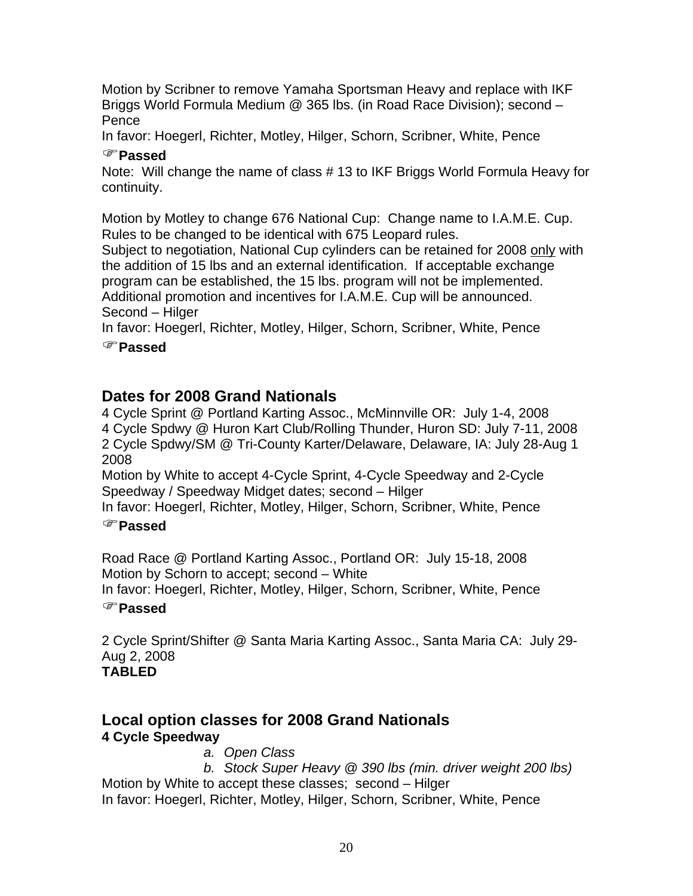Motion by Scribner to remove Yamaha Sportsman Heavy and replace with IKF Briggs World Formula Medium @ 365 lbs. (in Road Race Division); second – Pence

In favor: Hoegerl, Richter, Motley, Hilger, Schorn, Scribner, White, Pence

## )**Passed**

Note: Will change the name of class # 13 to IKF Briggs World Formula Heavy for continuity.

Motion by Motley to change 676 National Cup: Change name to I.A.M.E. Cup. Rules to be changed to be identical with 675 Leopard rules.

Subject to negotiation, National Cup cylinders can be retained for 2008 only with the addition of 15 lbs and an external identification. If acceptable exchange program can be established, the 15 lbs. program will not be implemented. Additional promotion and incentives for I.A.M.E. Cup will be announced. Second – Hilger

In favor: Hoegerl, Richter, Motley, Hilger, Schorn, Scribner, White, Pence

)**Passed**

# **Dates for 2008 Grand Nationals**

4 Cycle Sprint @ Portland Karting Assoc., McMinnville OR: July 1-4, 2008 4 Cycle Spdwy @ Huron Kart Club/Rolling Thunder, Huron SD: July 7-11, 2008 2 Cycle Spdwy/SM @ Tri-County Karter/Delaware, Delaware, IA: July 28-Aug 1 2008

Motion by White to accept 4-Cycle Sprint, 4-Cycle Speedway and 2-Cycle Speedway / Speedway Midget dates; second – Hilger

In favor: Hoegerl, Richter, Motley, Hilger, Schorn, Scribner, White, Pence

## )**Passed**

Road Race @ Portland Karting Assoc., Portland OR: July 15-18, 2008 Motion by Schorn to accept; second – White

In favor: Hoegerl, Richter, Motley, Hilger, Schorn, Scribner, White, Pence )**Passed**

2 Cycle Sprint/Shifter @ Santa Maria Karting Assoc., Santa Maria CA: July 29- Aug 2, 2008 **TABLED** 

# **Local option classes for 2008 Grand Nationals 4 Cycle Speedway**

*a. Open Class* 

*b. Stock Super Heavy @ 390 lbs (min. driver weight 200 lbs)*  Motion by White to accept these classes; second – Hilger In favor: Hoegerl, Richter, Motley, Hilger, Schorn, Scribner, White, Pence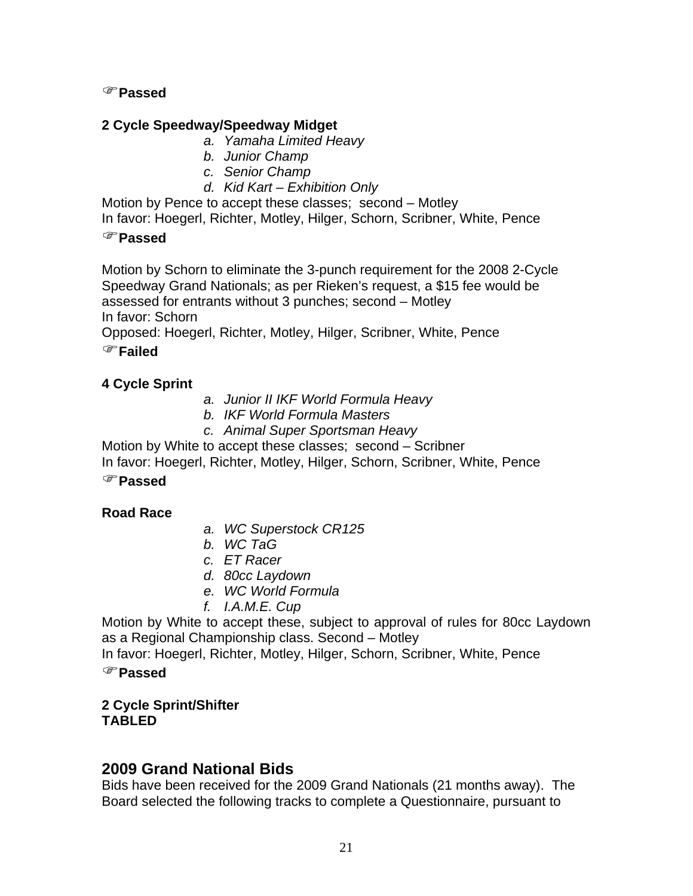#### )**Passed**

#### **2 Cycle Speedway/Speedway Midget**

- *a. Yamaha Limited Heavy*
- *b. Junior Champ*
- *c. Senior Champ*
- *d. Kid Kart Exhibition Only*

Motion by Pence to accept these classes; second – Motley

In favor: Hoegerl, Richter, Motley, Hilger, Schorn, Scribner, White, Pence

#### )**Passed**

Motion by Schorn to eliminate the 3-punch requirement for the 2008 2-Cycle Speedway Grand Nationals; as per Rieken's request, a \$15 fee would be assessed for entrants without 3 punches; second – Motley In favor: Schorn

Opposed: Hoegerl, Richter, Motley, Hilger, Scribner, White, Pence

### )**Failed**

### **4 Cycle Sprint**

- *a. Junior II IKF World Formula Heavy*
- *b. IKF World Formula Masters*
- *c. Animal Super Sportsman Heavy*

Motion by White to accept these classes; second – Scribner

In favor: Hoegerl, Richter, Motley, Hilger, Schorn, Scribner, White, Pence )**Passed**

## **Road Race**

- *a. WC Superstock CR125*
- *b. WC TaG*
- *c. ET Racer*
- *d. 80cc Laydown*
- *e. WC World Formula*
- *f. I.A.M.E. Cup*

Motion by White to accept these, subject to approval of rules for 80cc Laydown as a Regional Championship class. Second – Motley

In favor: Hoegerl, Richter, Motley, Hilger, Schorn, Scribner, White, Pence

#### )**Passed**

### **2 Cycle Sprint/Shifter TABLED**

## **2009 Grand National Bids**

Bids have been received for the 2009 Grand Nationals (21 months away). The Board selected the following tracks to complete a Questionnaire, pursuant to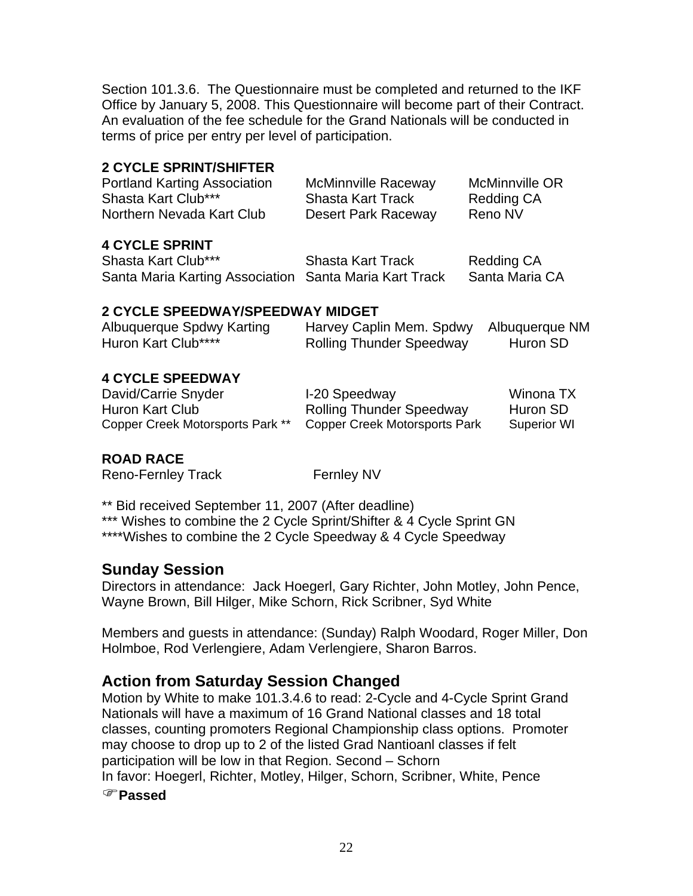Section 101.3.6. The Questionnaire must be completed and returned to the IKF Office by January 5, 2008. This Questionnaire will become part of their Contract. An evaluation of the fee schedule for the Grand Nationals will be conducted in terms of price per entry per level of participation.

## **2 CYCLE SPRINT/SHIFTER**

|                                                        | McMinnville OR             |
|--------------------------------------------------------|----------------------------|
| <b>Shasta Kart Track</b>                               | <b>Redding CA</b>          |
| Desert Park Raceway                                    | Reno NV                    |
|                                                        |                            |
| <b>Shasta Kart Track</b>                               | <b>Redding CA</b>          |
| Santa Maria Karting Association Santa Maria Kart Track | Santa Maria CA             |
|                                                        | <b>McMinnville Raceway</b> |

### **2 CYCLE SPEEDWAY/SPEEDWAY MIDGET**

| Albuquerque Spdwy Karting | Harvey Caplin Mem. Spdwy Albuquerque NM |          |
|---------------------------|-----------------------------------------|----------|
| Huron Kart Club****       | <b>Rolling Thunder Speedway</b>         | Huron SD |

### **4 CYCLE SPEEDWAY**

David/Carrie Snyder **I-20 Speedway** Winona TX Huron Kart Club Rolling Thunder Speedway Huron SD Copper Creek Motorsports Park \*\* Copper Creek Motorsports Park Superior WI

## **ROAD RACE**

Reno-Fernley Track Fernley NV

\*\* Bid received September 11, 2007 (After deadline) \*\*\* Wishes to combine the 2 Cycle Sprint/Shifter & 4 Cycle Sprint GN \*\*\*\*Wishes to combine the 2 Cycle Speedway & 4 Cycle Speedway

## **Sunday Session**

Directors in attendance: Jack Hoegerl, Gary Richter, John Motley, John Pence, Wayne Brown, Bill Hilger, Mike Schorn, Rick Scribner, Syd White

Members and guests in attendance: (Sunday) Ralph Woodard, Roger Miller, Don Holmboe, Rod Verlengiere, Adam Verlengiere, Sharon Barros.

# **Action from Saturday Session Changed**

Motion by White to make 101.3.4.6 to read: 2-Cycle and 4-Cycle Sprint Grand Nationals will have a maximum of 16 Grand National classes and 18 total classes, counting promoters Regional Championship class options. Promoter may choose to drop up to 2 of the listed Grad Nantioanl classes if felt participation will be low in that Region. Second – Schorn In favor: Hoegerl, Richter, Motley, Hilger, Schorn, Scribner, White, Pence

)**Passed**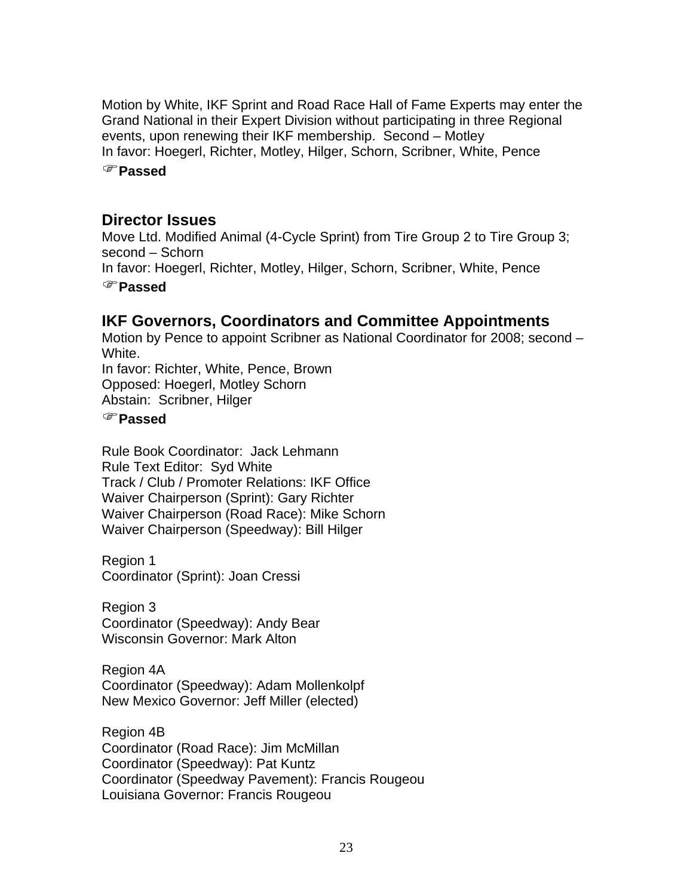Motion by White, IKF Sprint and Road Race Hall of Fame Experts may enter the Grand National in their Expert Division without participating in three Regional events, upon renewing their IKF membership. Second – Motley In favor: Hoegerl, Richter, Motley, Hilger, Schorn, Scribner, White, Pence

)**Passed**

## **Director Issues**

Move Ltd. Modified Animal (4-Cycle Sprint) from Tire Group 2 to Tire Group 3; second – Schorn In favor: Hoegerl, Richter, Motley, Hilger, Schorn, Scribner, White, Pence )**Passed**

# **IKF Governors, Coordinators and Committee Appointments**

Motion by Pence to appoint Scribner as National Coordinator for 2008; second – White.

In favor: Richter, White, Pence, Brown Opposed: Hoegerl, Motley Schorn Abstain: Scribner, Hilger

## )**Passed**

Rule Book Coordinator: Jack Lehmann Rule Text Editor: Syd White Track / Club / Promoter Relations: IKF Office Waiver Chairperson (Sprint): Gary Richter Waiver Chairperson (Road Race): Mike Schorn Waiver Chairperson (Speedway): Bill Hilger

Region 1 Coordinator (Sprint): Joan Cressi

Region 3 Coordinator (Speedway): Andy Bear Wisconsin Governor: Mark Alton

Region 4A Coordinator (Speedway): Adam Mollenkolpf New Mexico Governor: Jeff Miller (elected)

Region 4B Coordinator (Road Race): Jim McMillan Coordinator (Speedway): Pat Kuntz Coordinator (Speedway Pavement): Francis Rougeou Louisiana Governor: Francis Rougeou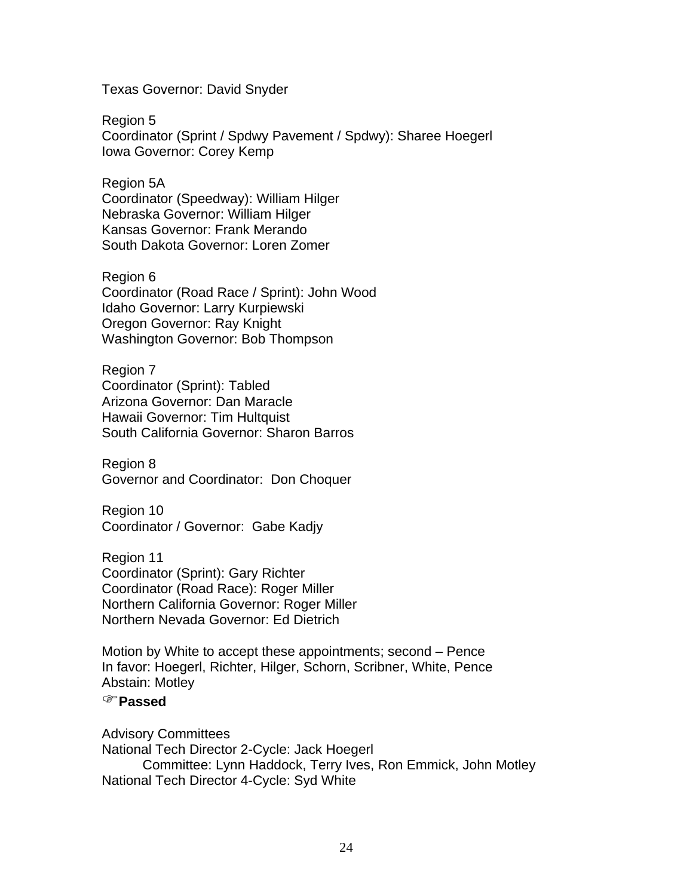Texas Governor: David Snyder

Region 5 Coordinator (Sprint / Spdwy Pavement / Spdwy): Sharee Hoegerl Iowa Governor: Corey Kemp

Region 5A Coordinator (Speedway): William Hilger Nebraska Governor: William Hilger Kansas Governor: Frank Merando South Dakota Governor: Loren Zomer

Region 6 Coordinator (Road Race / Sprint): John Wood Idaho Governor: Larry Kurpiewski Oregon Governor: Ray Knight Washington Governor: Bob Thompson

Region 7 Coordinator (Sprint): Tabled Arizona Governor: Dan Maracle Hawaii Governor: Tim Hultquist South California Governor: Sharon Barros

Region 8 Governor and Coordinator: Don Choquer

Region 10 Coordinator / Governor: Gabe Kadjy

Region 11 Coordinator (Sprint): Gary Richter Coordinator (Road Race): Roger Miller Northern California Governor: Roger Miller Northern Nevada Governor: Ed Dietrich

Motion by White to accept these appointments; second – Pence In favor: Hoegerl, Richter, Hilger, Schorn, Scribner, White, Pence Abstain: Motley

#### )**Passed**

Advisory Committees National Tech Director 2-Cycle: Jack Hoegerl Committee: Lynn Haddock, Terry Ives, Ron Emmick, John Motley National Tech Director 4-Cycle: Syd White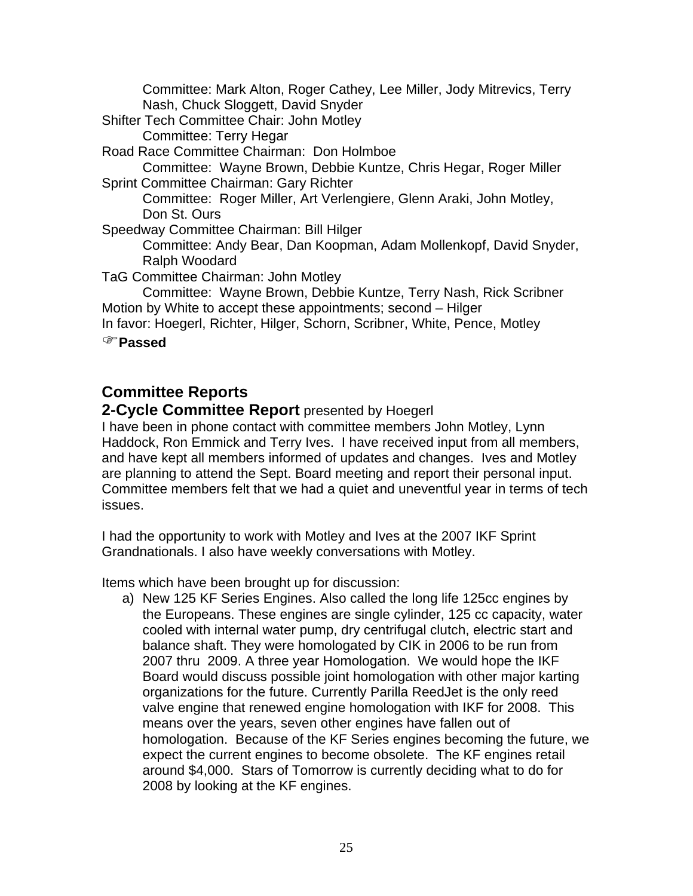Committee: Mark Alton, Roger Cathey, Lee Miller, Jody Mitrevics, Terry Nash, Chuck Sloggett, David Snyder

Shifter Tech Committee Chair: John Motley

Committee: Terry Hegar

Road Race Committee Chairman: Don Holmboe

Committee: Wayne Brown, Debbie Kuntze, Chris Hegar, Roger Miller Sprint Committee Chairman: Gary Richter

Committee: Roger Miller, Art Verlengiere, Glenn Araki, John Motley, Don St. Ours

Speedway Committee Chairman: Bill Hilger

Committee: Andy Bear, Dan Koopman, Adam Mollenkopf, David Snyder, Ralph Woodard

TaG Committee Chairman: John Motley

Committee: Wayne Brown, Debbie Kuntze, Terry Nash, Rick Scribner Motion by White to accept these appointments; second – Hilger

In favor: Hoegerl, Richter, Hilger, Schorn, Scribner, White, Pence, Motley

)**Passed**

# **Committee Reports**

**2-Cycle Committee Report** presented by Hoegerl

I have been in phone contact with committee members John Motley, Lynn Haddock, Ron Emmick and Terry Ives. I have received input from all members, and have kept all members informed of updates and changes. Ives and Motley are planning to attend the Sept. Board meeting and report their personal input. Committee members felt that we had a quiet and uneventful year in terms of tech issues.

I had the opportunity to work with Motley and Ives at the 2007 IKF Sprint Grandnationals. I also have weekly conversations with Motley.

Items which have been brought up for discussion:

a) New 125 KF Series Engines. Also called the long life 125cc engines by the Europeans. These engines are single cylinder, 125 cc capacity, water cooled with internal water pump, dry centrifugal clutch, electric start and balance shaft. They were homologated by CIK in 2006 to be run from 2007 thru 2009. A three year Homologation. We would hope the IKF Board would discuss possible joint homologation with other major karting organizations for the future. Currently Parilla ReedJet is the only reed valve engine that renewed engine homologation with IKF for 2008. This means over the years, seven other engines have fallen out of homologation. Because of the KF Series engines becoming the future, we expect the current engines to become obsolete. The KF engines retail around \$4,000. Stars of Tomorrow is currently deciding what to do for 2008 by looking at the KF engines.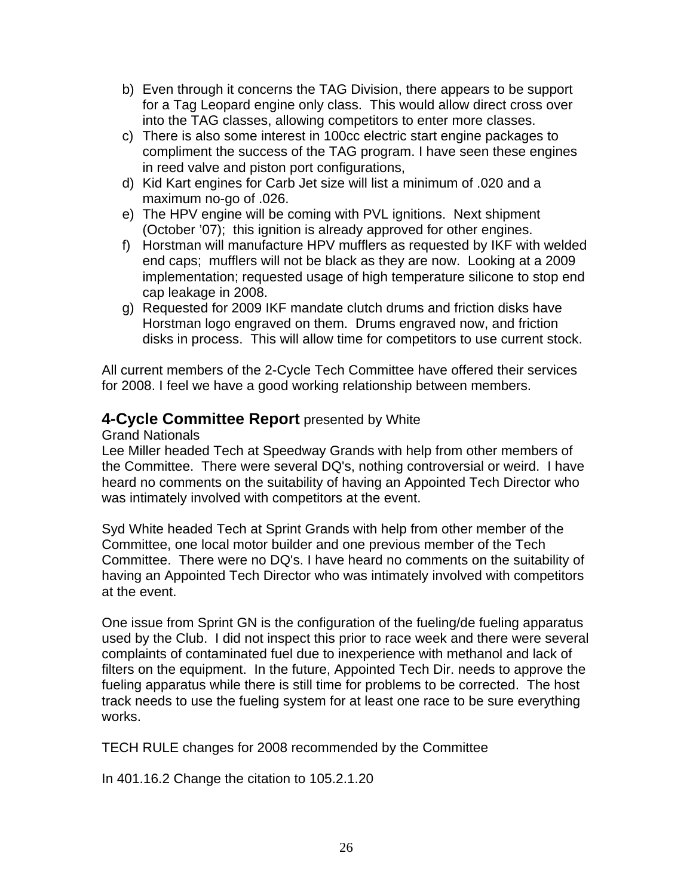- b) Even through it concerns the TAG Division, there appears to be support for a Tag Leopard engine only class. This would allow direct cross over into the TAG classes, allowing competitors to enter more classes.
- c) There is also some interest in 100cc electric start engine packages to compliment the success of the TAG program. I have seen these engines in reed valve and piston port configurations,
- d) Kid Kart engines for Carb Jet size will list a minimum of .020 and a maximum no-go of .026.
- e) The HPV engine will be coming with PVL ignitions. Next shipment (October '07); this ignition is already approved for other engines.
- f) Horstman will manufacture HPV mufflers as requested by IKF with welded end caps; mufflers will not be black as they are now. Looking at a 2009 implementation; requested usage of high temperature silicone to stop end cap leakage in 2008.
- g) Requested for 2009 IKF mandate clutch drums and friction disks have Horstman logo engraved on them. Drums engraved now, and friction disks in process. This will allow time for competitors to use current stock.

All current members of the 2-Cycle Tech Committee have offered their services for 2008. I feel we have a good working relationship between members.

# **4-Cycle Committee Report** presented by White

Grand Nationals

Lee Miller headed Tech at Speedway Grands with help from other members of the Committee. There were several DQ's, nothing controversial or weird. I have heard no comments on the suitability of having an Appointed Tech Director who was intimately involved with competitors at the event.

Syd White headed Tech at Sprint Grands with help from other member of the Committee, one local motor builder and one previous member of the Tech Committee. There were no DQ's. I have heard no comments on the suitability of having an Appointed Tech Director who was intimately involved with competitors at the event.

One issue from Sprint GN is the configuration of the fueling/de fueling apparatus used by the Club. I did not inspect this prior to race week and there were several complaints of contaminated fuel due to inexperience with methanol and lack of filters on the equipment. In the future, Appointed Tech Dir. needs to approve the fueling apparatus while there is still time for problems to be corrected. The host track needs to use the fueling system for at least one race to be sure everything works.

TECH RULE changes for 2008 recommended by the Committee

In 401.16.2 Change the citation to 105.2.1.20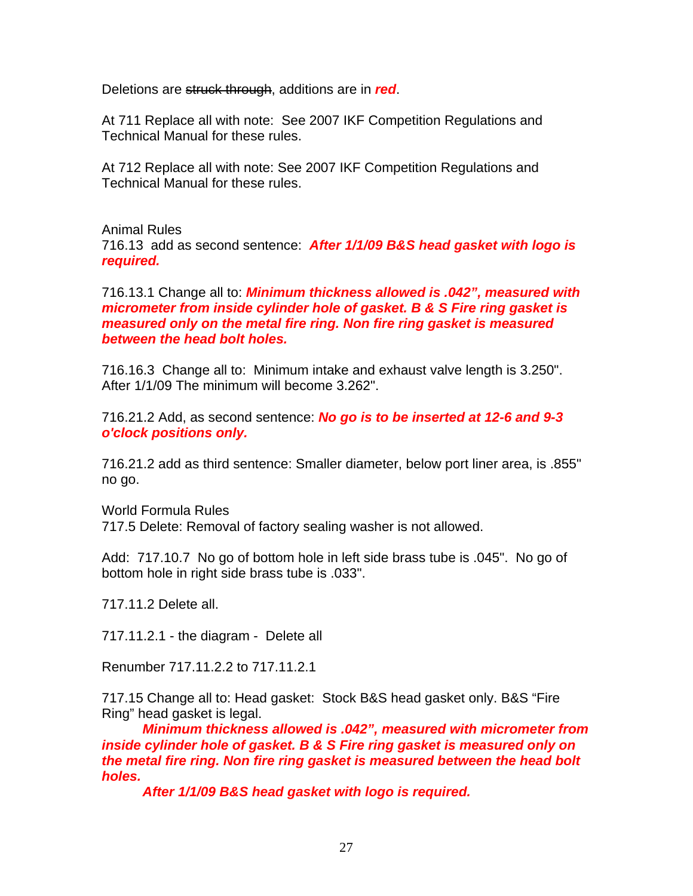Deletions are struck through, additions are in *red*.

At 711 Replace all with note: See 2007 IKF Competition Regulations and Technical Manual for these rules.

At 712 Replace all with note: See 2007 IKF Competition Regulations and Technical Manual for these rules.

Animal Rules 716.13 add as second sentence: *After 1/1/09 B&S head gasket with logo is required.* 

716.13.1 Change all to: *Minimum thickness allowed is .042", measured with micrometer from inside cylinder hole of gasket. B & S Fire ring gasket is measured only on the metal fire ring. Non fire ring gasket is measured between the head bolt holes.* 

716.16.3 Change all to: Minimum intake and exhaust valve length is 3.250". After 1/1/09 The minimum will become 3.262".

716.21.2 Add, as second sentence: *No go is to be inserted at 12-6 and 9-3 o'clock positions only.* 

716.21.2 add as third sentence: Smaller diameter, below port liner area, is .855" no go.

World Formula Rules 717.5 Delete: Removal of factory sealing washer is not allowed.

Add: 717.10.7 No go of bottom hole in left side brass tube is .045". No go of bottom hole in right side brass tube is .033".

717.11.2 Delete all.

717.11.2.1 - the diagram - Delete all

Renumber 717.11.2.2 to 717.11.2.1

717.15 Change all to: Head gasket: Stock B&S head gasket only. B&S "Fire Ring" head gasket is legal.

*Minimum thickness allowed is .042", measured with micrometer from inside cylinder hole of gasket. B & S Fire ring gasket is measured only on the metal fire ring. Non fire ring gasket is measured between the head bolt holes.* 

*After 1/1/09 B&S head gasket with logo is required.*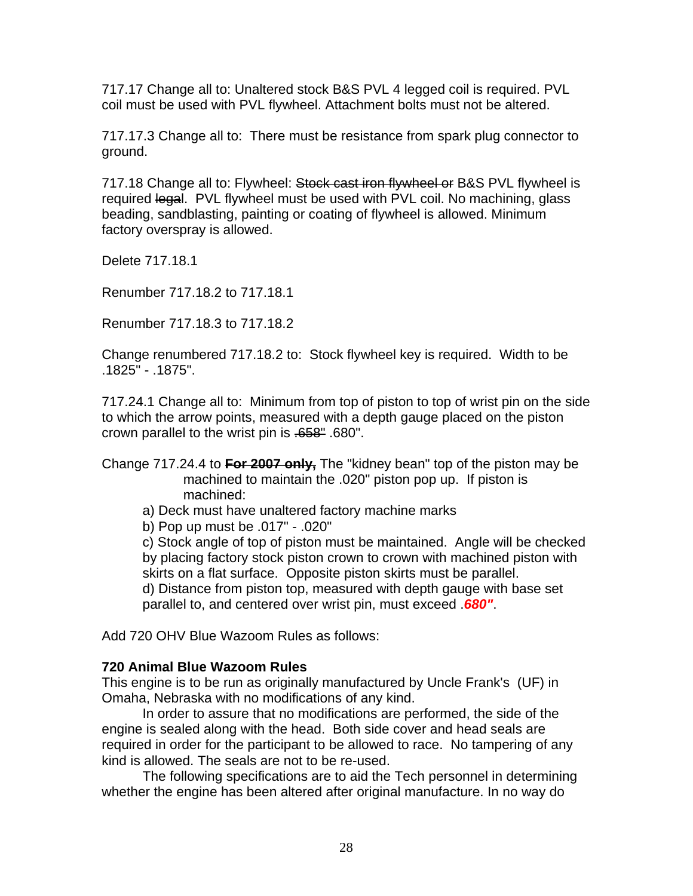717.17 Change all to: Unaltered stock B&S PVL 4 legged coil is required. PVL coil must be used with PVL flywheel. Attachment bolts must not be altered.

717.17.3 Change all to: There must be resistance from spark plug connector to ground.

717.18 Change all to: Flywheel: Stock cast iron flywheel or B&S PVL flywheel is required legal. PVL flywheel must be used with PVL coil. No machining, glass beading, sandblasting, painting or coating of flywheel is allowed. Minimum factory overspray is allowed.

Delete 717.18.1

Renumber 717.18.2 to 717.18.1

Renumber 717.18.3 to 717.18.2

Change renumbered 717.18.2 to: Stock flywheel key is required. Width to be .1825" - .1875".

717.24.1 Change all to: Minimum from top of piston to top of wrist pin on the side to which the arrow points, measured with a depth gauge placed on the piston crown parallel to the wrist pin is .658" .680".

#### Change 717.24.4 to **For 2007 only,** The "kidney bean" top of the piston may be machined to maintain the .020" piston pop up. If piston is machined:

- a) Deck must have unaltered factory machine marks
- b) Pop up must be .017" .020"

c) Stock angle of top of piston must be maintained. Angle will be checked by placing factory stock piston crown to crown with machined piston with skirts on a flat surface. Opposite piston skirts must be parallel.

d) Distance from piston top, measured with depth gauge with base set parallel to, and centered over wrist pin, must exceed .*680"*.

Add 720 OHV Blue Wazoom Rules as follows:

#### **720 Animal Blue Wazoom Rules**

This engine is to be run as originally manufactured by Uncle Frank's (UF) in Omaha, Nebraska with no modifications of any kind.

In order to assure that no modifications are performed, the side of the engine is sealed along with the head. Both side cover and head seals are required in order for the participant to be allowed to race. No tampering of any kind is allowed. The seals are not to be re-used.

The following specifications are to aid the Tech personnel in determining whether the engine has been altered after original manufacture. In no way do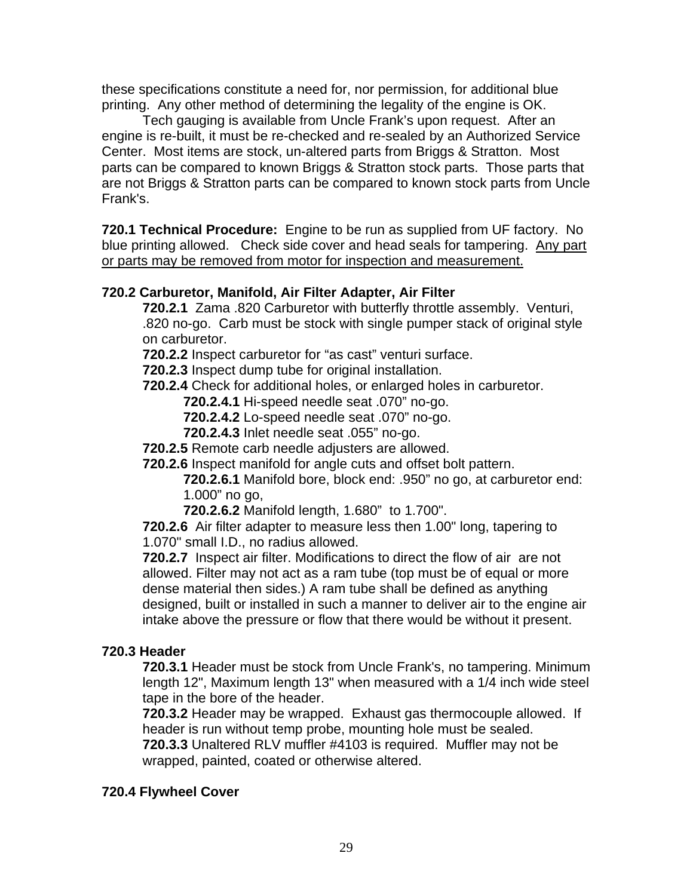these specifications constitute a need for, nor permission, for additional blue printing. Any other method of determining the legality of the engine is OK.

Tech gauging is available from Uncle Frank's upon request. After an engine is re-built, it must be re-checked and re-sealed by an Authorized Service Center. Most items are stock, un-altered parts from Briggs & Stratton. Most parts can be compared to known Briggs & Stratton stock parts. Those parts that are not Briggs & Stratton parts can be compared to known stock parts from Uncle Frank's.

**720.1 Technical Procedure:** Engine to be run as supplied from UF factory. No blue printing allowed. Check side cover and head seals for tampering. Any part or parts may be removed from motor for inspection and measurement.

## **720.2 Carburetor, Manifold, Air Filter Adapter, Air Filter**

**720.2.1** Zama .820 Carburetor with butterfly throttle assembly. Venturi, .820 no-go. Carb must be stock with single pumper stack of original style on carburetor.

**720.2.2** Inspect carburetor for "as cast" venturi surface.

- **720.2.3** Inspect dump tube for original installation.
- **720.2.4** Check for additional holes, or enlarged holes in carburetor.

**720.2.4.1** Hi-speed needle seat .070" no-go.

- **720.2.4.2** Lo-speed needle seat .070" no-go.
- **720.2.4.3** Inlet needle seat .055" no-go.
- **720.2.5** Remote carb needle adjusters are allowed.
- **720.2.6** Inspect manifold for angle cuts and offset bolt pattern.

**720.2.6.1** Manifold bore, block end: .950" no go, at carburetor end: 1.000" no go,

**720.2.6.2** Manifold length, 1.680" to 1.700".

**720.2.6** Air filter adapter to measure less then 1.00" long, tapering to 1.070" small I.D., no radius allowed.

**720.2.7** Inspect air filter. Modifications to direct the flow of air are not allowed. Filter may not act as a ram tube (top must be of equal or more dense material then sides.) A ram tube shall be defined as anything designed, built or installed in such a manner to deliver air to the engine air intake above the pressure or flow that there would be without it present.

#### **720.3 Header**

**720.3.1** Header must be stock from Uncle Frank's, no tampering. Minimum length 12", Maximum length 13" when measured with a 1/4 inch wide steel tape in the bore of the header.

**720.3.2** Header may be wrapped. Exhaust gas thermocouple allowed. If header is run without temp probe, mounting hole must be sealed.

**720.3.3** Unaltered RLV muffler #4103 is required. Muffler may not be wrapped, painted, coated or otherwise altered.

## **720.4 Flywheel Cover**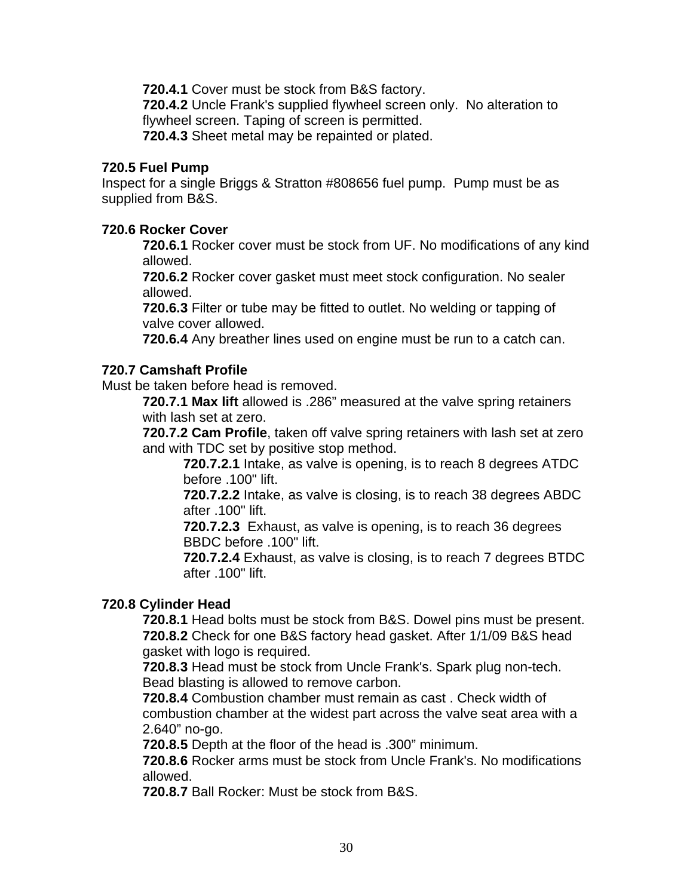**720.4.1** Cover must be stock from B&S factory.

**720.4.2** Uncle Frank's supplied flywheel screen only. No alteration to flywheel screen. Taping of screen is permitted.

**720.4.3** Sheet metal may be repainted or plated.

#### **720.5 Fuel Pump**

Inspect for a single Briggs & Stratton #808656 fuel pump. Pump must be as supplied from B&S.

#### **720.6 Rocker Cover**

**720.6.1** Rocker cover must be stock from UF. No modifications of any kind allowed.

**720.6.2** Rocker cover gasket must meet stock configuration. No sealer allowed.

**720.6.3** Filter or tube may be fitted to outlet. No welding or tapping of valve cover allowed.

**720.6.4** Any breather lines used on engine must be run to a catch can.

### **720.7 Camshaft Profile**

Must be taken before head is removed.

**720.7.1 Max lift** allowed is .286" measured at the valve spring retainers with lash set at zero.

**720.7.2 Cam Profile**, taken off valve spring retainers with lash set at zero and with TDC set by positive stop method.

**720.7.2.1** Intake, as valve is opening, is to reach 8 degrees ATDC before .100" lift.

**720.7.2.2** Intake, as valve is closing, is to reach 38 degrees ABDC after .100" lift.

**720.7.2.3** Exhaust, as valve is opening, is to reach 36 degrees BBDC before .100" lift.

**720.7.2.4** Exhaust, as valve is closing, is to reach 7 degrees BTDC after .100" lift.

#### **720.8 Cylinder Head**

**720.8.1** Head bolts must be stock from B&S. Dowel pins must be present. **720.8.2** Check for one B&S factory head gasket. After 1/1/09 B&S head gasket with logo is required.

**720.8.3** Head must be stock from Uncle Frank's. Spark plug non-tech. Bead blasting is allowed to remove carbon.

**720.8.4** Combustion chamber must remain as cast . Check width of combustion chamber at the widest part across the valve seat area with a 2.640" no-go.

**720.8.5** Depth at the floor of the head is .300" minimum.

**720.8.6** Rocker arms must be stock from Uncle Frank's. No modifications allowed.

**720.8.7** Ball Rocker: Must be stock from B&S.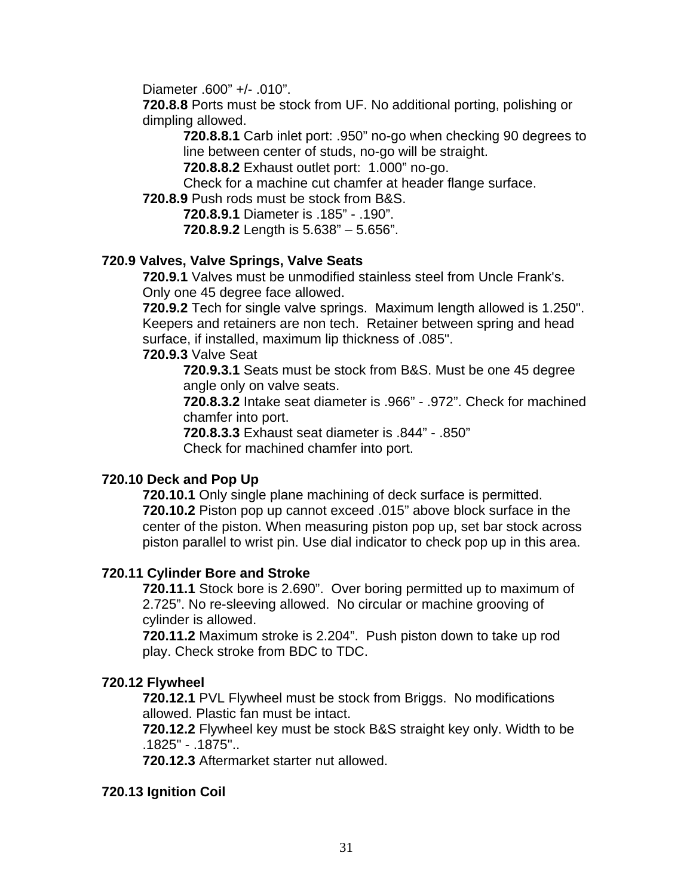Diameter .600" +/- .010".

**720.8.8** Ports must be stock from UF. No additional porting, polishing or dimpling allowed.

**720.8.8.1** Carb inlet port: .950" no-go when checking 90 degrees to line between center of studs, no-go will be straight.

**720.8.8.2** Exhaust outlet port: 1.000" no-go.

Check for a machine cut chamfer at header flange surface.

**720.8.9** Push rods must be stock from B&S.

**720.8.9.1** Diameter is .185" - .190". **720.8.9.2** Length is 5.638" – 5.656".

### **720.9 Valves, Valve Springs, Valve Seats**

**720.9.1** Valves must be unmodified stainless steel from Uncle Frank's. Only one 45 degree face allowed.

 **720.9.2** Tech for single valve springs. Maximum length allowed is 1.250". Keepers and retainers are non tech. Retainer between spring and head surface, if installed, maximum lip thickness of .085".

#### **720.9.3** Valve Seat

**720.9.3.1** Seats must be stock from B&S. Must be one 45 degree angle only on valve seats.

**720.8.3.2** Intake seat diameter is .966" - .972". Check for machined chamfer into port.

 **720.8.3.3** Exhaust seat diameter is .844" - .850" Check for machined chamfer into port.

## **720.10 Deck and Pop Up**

**720.10.1** Only single plane machining of deck surface is permitted. **720.10.2** Piston pop up cannot exceed .015" above block surface in the center of the piston. When measuring piston pop up, set bar stock across piston parallel to wrist pin. Use dial indicator to check pop up in this area.

#### **720.11 Cylinder Bore and Stroke**

**720.11.1** Stock bore is 2.690". Over boring permitted up to maximum of 2.725". No re-sleeving allowed. No circular or machine grooving of cylinder is allowed.

**720.11.2** Maximum stroke is 2.204". Push piston down to take up rod play. Check stroke from BDC to TDC.

#### **720.12 Flywheel**

**720.12.1** PVL Flywheel must be stock from Briggs. No modifications allowed. Plastic fan must be intact.

**720.12.2** Flywheel key must be stock B&S straight key only. Width to be .1825" - .1875"..

**720.12.3** Aftermarket starter nut allowed.

#### **720.13 Ignition Coil**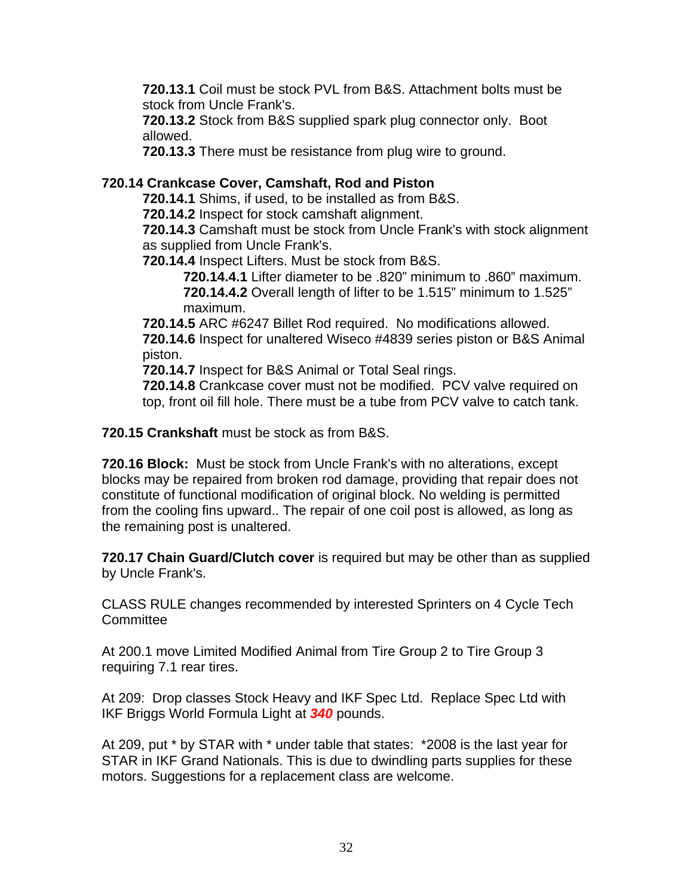**720.13.1** Coil must be stock PVL from B&S. Attachment bolts must be stock from Uncle Frank's.

**720.13.2** Stock from B&S supplied spark plug connector only. Boot allowed.

**720.13.3** There must be resistance from plug wire to ground.

## **720.14 Crankcase Cover, Camshaft, Rod and Piston**

**720.14.1** Shims, if used, to be installed as from B&S.

**720.14.2** Inspect for stock camshaft alignment.

**720.14.3** Camshaft must be stock from Uncle Frank's with stock alignment as supplied from Uncle Frank's.

**720.14.4** Inspect Lifters. Must be stock from B&S.

**720.14.4.1** Lifter diameter to be .820" minimum to .860" maximum. **720.14.4.2** Overall length of lifter to be 1.515" minimum to 1.525" maximum.

**720.14.5** ARC #6247 Billet Rod required. No modifications allowed. **720.14.6** Inspect for unaltered Wiseco #4839 series piston or B&S Animal piston.

**720.14.7** Inspect for B&S Animal or Total Seal rings.

**720.14.8** Crankcase cover must not be modified. PCV valve required on top, front oil fill hole. There must be a tube from PCV valve to catch tank.

**720.15 Crankshaft** must be stock as from B&S.

**720.16 Block:** Must be stock from Uncle Frank's with no alterations, except blocks may be repaired from broken rod damage, providing that repair does not constitute of functional modification of original block. No welding is permitted from the cooling fins upward.. The repair of one coil post is allowed, as long as the remaining post is unaltered.

**720.17 Chain Guard/Clutch cover** is required but may be other than as supplied by Uncle Frank's.

CLASS RULE changes recommended by interested Sprinters on 4 Cycle Tech **Committee** 

At 200.1 move Limited Modified Animal from Tire Group 2 to Tire Group 3 requiring 7.1 rear tires.

At 209: Drop classes Stock Heavy and IKF Spec Ltd. Replace Spec Ltd with IKF Briggs World Formula Light at *340* pounds.

At 209, put \* by STAR with \* under table that states: \*2008 is the last year for STAR in IKF Grand Nationals. This is due to dwindling parts supplies for these motors. Suggestions for a replacement class are welcome.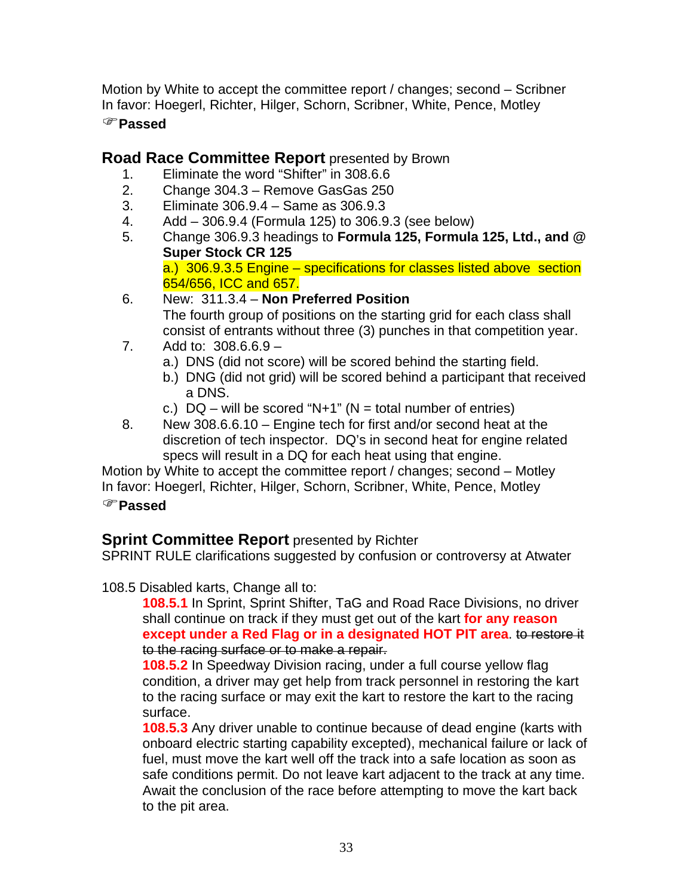Motion by White to accept the committee report / changes; second – Scribner In favor: Hoegerl, Richter, Hilger, Schorn, Scribner, White, Pence, Motley

## )**Passed**

## **Road Race Committee Report** presented by Brown

- 1. Eliminate the word "Shifter" in 308.6.6
- 2. Change 304.3 Remove GasGas 250
- 3. Eliminate 306.9.4 Same as 306.9.3
- 4. Add 306.9.4 (Formula 125) to 306.9.3 (see below)
- 5. Change 306.9.3 headings to **Formula 125, Formula 125, Ltd., and @ Super Stock CR 125**

a.) 306.9.3.5 Engine – specifications for classes listed above section 654/656, ICC and 657.

- 6. New: 311.3.4 **Non Preferred Position**  The fourth group of positions on the starting grid for each class shall consist of entrants without three (3) punches in that competition year.
- 7. Add to: 308.6.6.9
	- a.) DNS (did not score) will be scored behind the starting field.
	- b.) DNG (did not grid) will be scored behind a participant that received a DNS.
	- c.)  $DQ$  will be scored "N+1" (N = total number of entries)
- 8. New 308.6.6.10 Engine tech for first and/or second heat at the discretion of tech inspector. DQ's in second heat for engine related specs will result in a DQ for each heat using that engine.

Motion by White to accept the committee report / changes; second – Motley In favor: Hoegerl, Richter, Hilger, Schorn, Scribner, White, Pence, Motley

## )**Passed**

# **Sprint Committee Report** presented by Richter

SPRINT RULE clarifications suggested by confusion or controversy at Atwater

## 108.5 Disabled karts, Change all to:

**108.5.1** In Sprint, Sprint Shifter, TaG and Road Race Divisions, no driver shall continue on track if they must get out of the kart **for any reason except under a Red Flag or in a designated HOT PIT area**. to restore it to the racing surface or to make a repair.

**108.5.2** In Speedway Division racing, under a full course yellow flag condition, a driver may get help from track personnel in restoring the kart to the racing surface or may exit the kart to restore the kart to the racing surface.

**108.5.3** Any driver unable to continue because of dead engine (karts with onboard electric starting capability excepted), mechanical failure or lack of fuel, must move the kart well off the track into a safe location as soon as safe conditions permit. Do not leave kart adjacent to the track at any time. Await the conclusion of the race before attempting to move the kart back to the pit area.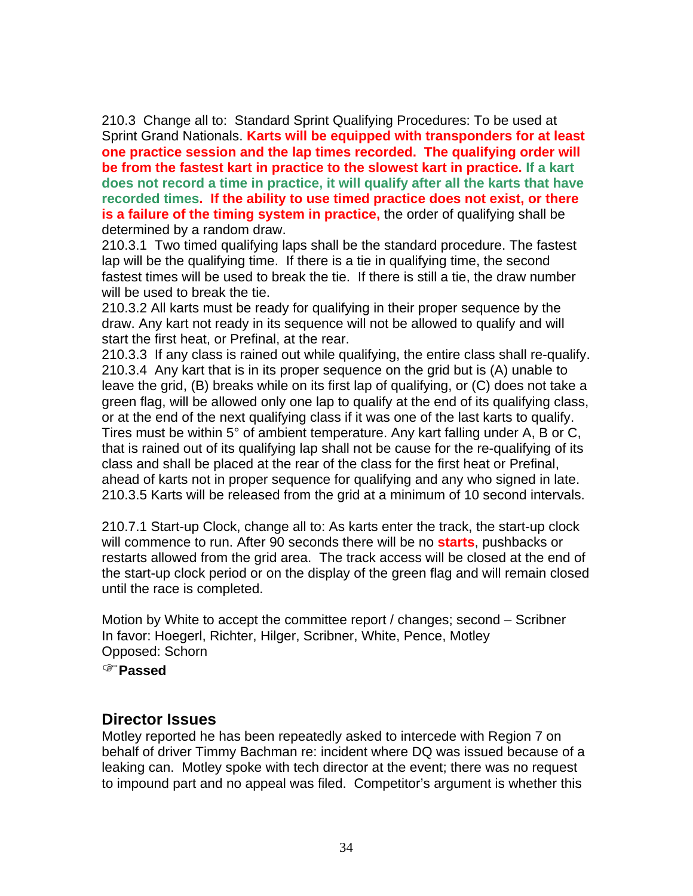210.3 Change all to: Standard Sprint Qualifying Procedures: To be used at Sprint Grand Nationals. **Karts will be equipped with transponders for at least one practice session and the lap times recorded. The qualifying order will be from the fastest kart in practice to the slowest kart in practice. If a kart does not record a time in practice, it will qualify after all the karts that have recorded times. If the ability to use timed practice does not exist, or there is a failure of the timing system in practice,** the order of qualifying shall be determined by a random draw.

210.3.1 Two timed qualifying laps shall be the standard procedure. The fastest lap will be the qualifying time. If there is a tie in qualifying time, the second fastest times will be used to break the tie. If there is still a tie, the draw number will be used to break the tie.

210.3.2 All karts must be ready for qualifying in their proper sequence by the draw. Any kart not ready in its sequence will not be allowed to qualify and will start the first heat, or Prefinal, at the rear.

210.3.3 If any class is rained out while qualifying, the entire class shall re-qualify. 210.3.4 Any kart that is in its proper sequence on the grid but is (A) unable to leave the grid, (B) breaks while on its first lap of qualifying, or (C) does not take a green flag, will be allowed only one lap to qualify at the end of its qualifying class, or at the end of the next qualifying class if it was one of the last karts to qualify. Tires must be within 5° of ambient temperature. Any kart falling under A, B or C, that is rained out of its qualifying lap shall not be cause for the re-qualifying of its class and shall be placed at the rear of the class for the first heat or Prefinal, ahead of karts not in proper sequence for qualifying and any who signed in late. 210.3.5 Karts will be released from the grid at a minimum of 10 second intervals.

210.7.1 Start-up Clock, change all to: As karts enter the track, the start-up clock will commence to run. After 90 seconds there will be no **starts**, pushbacks or restarts allowed from the grid area. The track access will be closed at the end of the start-up clock period or on the display of the green flag and will remain closed until the race is completed.

Motion by White to accept the committee report / changes; second – Scribner In favor: Hoegerl, Richter, Hilger, Scribner, White, Pence, Motley Opposed: Schorn

)**Passed**

## **Director Issues**

Motley reported he has been repeatedly asked to intercede with Region 7 on behalf of driver Timmy Bachman re: incident where DQ was issued because of a leaking can. Motley spoke with tech director at the event; there was no request to impound part and no appeal was filed. Competitor's argument is whether this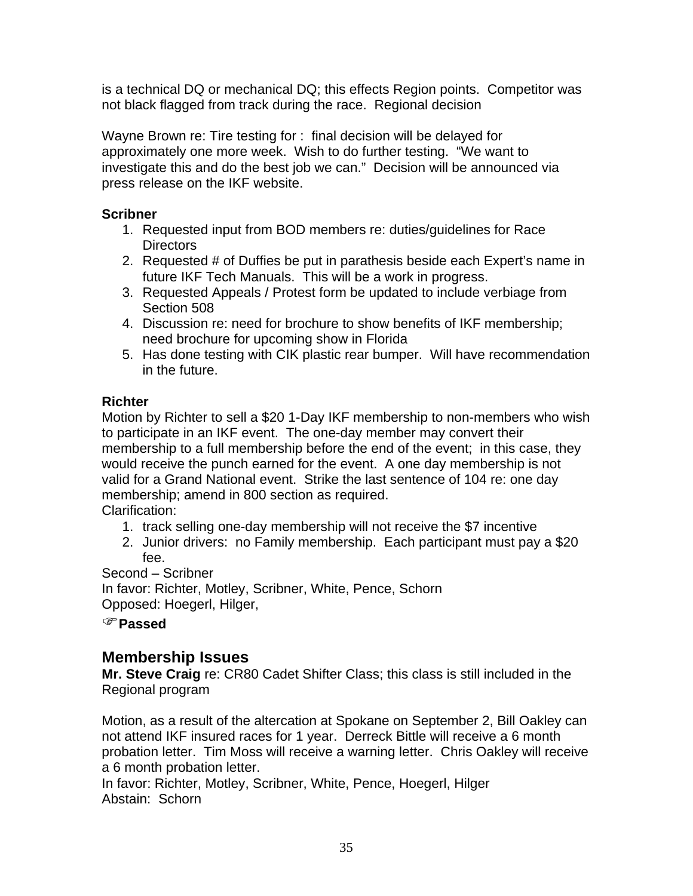is a technical DQ or mechanical DQ; this effects Region points. Competitor was not black flagged from track during the race. Regional decision

Wayne Brown re: Tire testing for : final decision will be delayed for approximately one more week. Wish to do further testing. "We want to investigate this and do the best job we can." Decision will be announced via press release on the IKF website.

## **Scribner**

- 1. Requested input from BOD members re: duties/guidelines for Race Directors
- 2. Requested # of Duffies be put in parathesis beside each Expert's name in future IKF Tech Manuals. This will be a work in progress.
- 3. Requested Appeals / Protest form be updated to include verbiage from Section 508
- 4. Discussion re: need for brochure to show benefits of IKF membership; need brochure for upcoming show in Florida
- 5. Has done testing with CIK plastic rear bumper. Will have recommendation in the future.

## **Richter**

Motion by Richter to sell a \$20 1-Day IKF membership to non-members who wish to participate in an IKF event. The one-day member may convert their membership to a full membership before the end of the event; in this case, they would receive the punch earned for the event. A one day membership is not valid for a Grand National event. Strike the last sentence of 104 re: one day membership; amend in 800 section as required.

Clarification:

- 1. track selling one-day membership will not receive the \$7 incentive
- 2. Junior drivers: no Family membership. Each participant must pay a \$20 fee.

Second – Scribner

In favor: Richter, Motley, Scribner, White, Pence, Schorn Opposed: Hoegerl, Hilger,

)**Passed**

# **Membership Issues**

**Mr. Steve Craig** re: CR80 Cadet Shifter Class; this class is still included in the Regional program

Motion, as a result of the altercation at Spokane on September 2, Bill Oakley can not attend IKF insured races for 1 year. Derreck Bittle will receive a 6 month probation letter. Tim Moss will receive a warning letter. Chris Oakley will receive a 6 month probation letter.

In favor: Richter, Motley, Scribner, White, Pence, Hoegerl, Hilger Abstain: Schorn